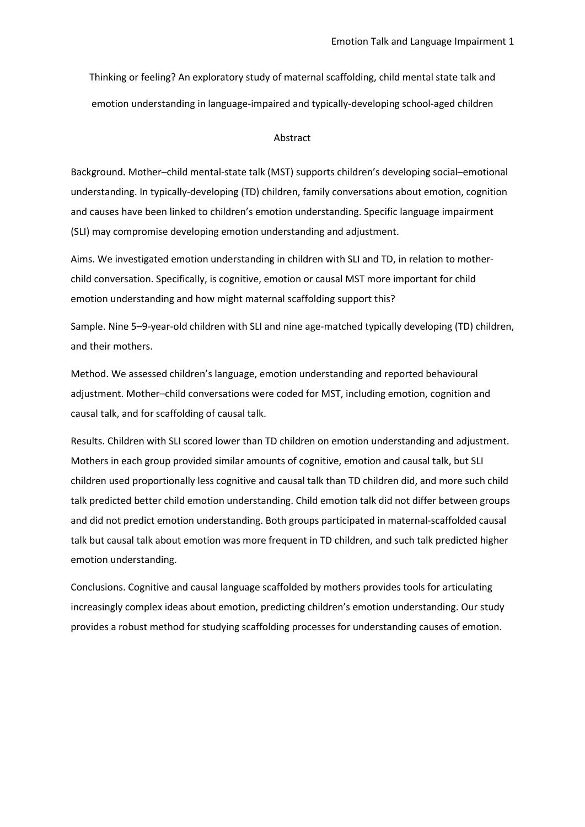Thinking or feeling? An exploratory study of maternal scaffolding, child mental state talk and emotion understanding in language-impaired and typically-developing school-aged children

## Abstract

Background. Mother–child mental-state talk (MST) supports children's developing social–emotional understanding. In typically-developing (TD) children, family conversations about emotion, cognition and causes have been linked to children's emotion understanding. Specific language impairment (SLI) may compromise developing emotion understanding and adjustment.

Aims. We investigated emotion understanding in children with SLI and TD, in relation to motherchild conversation. Specifically, is cognitive, emotion or causal MST more important for child emotion understanding and how might maternal scaffolding support this?

Sample. Nine 5–9-year-old children with SLI and nine age-matched typically developing (TD) children, and their mothers.

Method. We assessed children's language, emotion understanding and reported behavioural adjustment. Mother–child conversations were coded for MST, including emotion, cognition and causal talk, and for scaffolding of causal talk.

Results. Children with SLI scored lower than TD children on emotion understanding and adjustment. Mothers in each group provided similar amounts of cognitive, emotion and causal talk, but SLI children used proportionally less cognitive and causal talk than TD children did, and more such child talk predicted better child emotion understanding. Child emotion talk did not differ between groups and did not predict emotion understanding. Both groups participated in maternal-scaffolded causal talk but causal talk about emotion was more frequent in TD children, and such talk predicted higher emotion understanding.

Conclusions. Cognitive and causal language scaffolded by mothers provides tools for articulating increasingly complex ideas about emotion, predicting children's emotion understanding. Our study provides a robust method for studying scaffolding processes for understanding causes of emotion.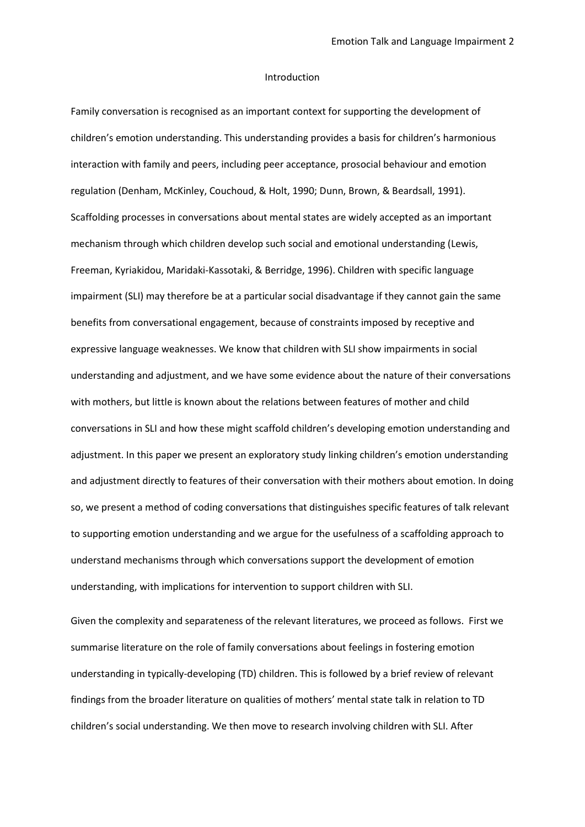### Introduction

Family conversation is recognised as an important context for supporting the development of children's emotion understanding. This understanding provides a basis for children's harmonious interaction with family and peers, including peer acceptance, prosocial behaviour and emotion regulation (Denham, McKinley, Couchoud, & Holt, 1990; Dunn, Brown, & Beardsall, 1991). Scaffolding processes in conversations about mental states are widely accepted as an important mechanism through which children develop such social and emotional understanding (Lewis, Freeman, Kyriakidou, Maridaki-Kassotaki, & Berridge, 1996). Children with specific language impairment (SLI) may therefore be at a particular social disadvantage if they cannot gain the same benefits from conversational engagement, because of constraints imposed by receptive and expressive language weaknesses. We know that children with SLI show impairments in social understanding and adjustment, and we have some evidence about the nature of their conversations with mothers, but little is known about the relations between features of mother and child conversations in SLI and how these might scaffold children's developing emotion understanding and adjustment. In this paper we present an exploratory study linking children's emotion understanding and adjustment directly to features of their conversation with their mothers about emotion. In doing so, we present a method of coding conversations that distinguishes specific features of talk relevant to supporting emotion understanding and we argue for the usefulness of a scaffolding approach to understand mechanisms through which conversations support the development of emotion understanding, with implications for intervention to support children with SLI.

Given the complexity and separateness of the relevant literatures, we proceed as follows. First we summarise literature on the role of family conversations about feelings in fostering emotion understanding in typically-developing (TD) children. This is followed by a brief review of relevant findings from the broader literature on qualities of mothers' mental state talk in relation to TD children's social understanding. We then move to research involving children with SLI. After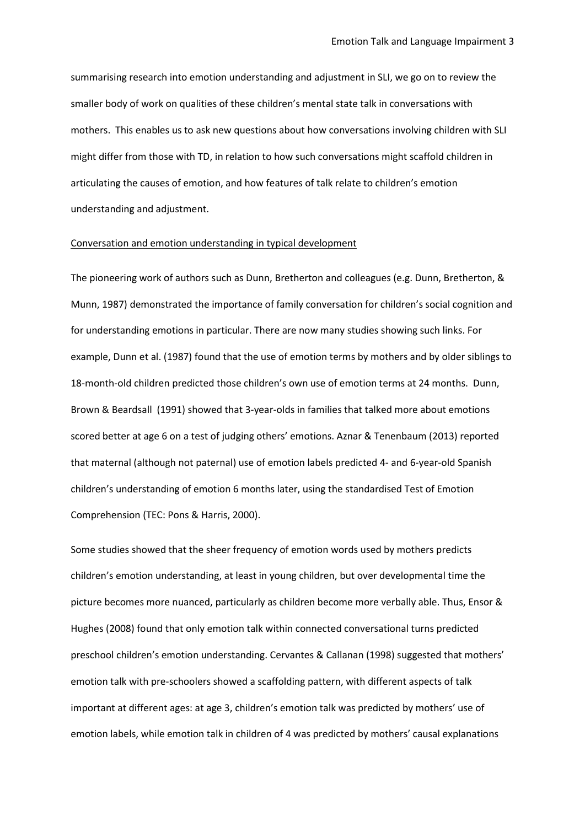summarising research into emotion understanding and adjustment in SLI, we go on to review the smaller body of work on qualities of these children's mental state talk in conversations with mothers. This enables us to ask new questions about how conversations involving children with SLI might differ from those with TD, in relation to how such conversations might scaffold children in articulating the causes of emotion, and how features of talk relate to children's emotion understanding and adjustment.

## Conversation and emotion understanding in typical development

The pioneering work of authors such as Dunn, Bretherton and colleagues (e.g. Dunn, Bretherton, & Munn, 1987) demonstrated the importance of family conversation for children's social cognition and for understanding emotions in particular. There are now many studies showing such links. For example, Dunn et al. (1987) found that the use of emotion terms by mothers and by older siblings to 18-month-old children predicted those children's own use of emotion terms at 24 months. Dunn, Brown & Beardsall (1991) showed that 3-year-olds in families that talked more about emotions scored better at age 6 on a test of judging others' emotions. Aznar & Tenenbaum (2013) reported that maternal (although not paternal) use of emotion labels predicted 4- and 6-year-old Spanish children's understanding of emotion 6 months later, using the standardised Test of Emotion Comprehension (TEC: Pons & Harris, 2000).

Some studies showed that the sheer frequency of emotion words used by mothers predicts children's emotion understanding, at least in young children, but over developmental time the picture becomes more nuanced, particularly as children become more verbally able. Thus, Ensor & Hughes (2008) found that only emotion talk within connected conversational turns predicted preschool children's emotion understanding. Cervantes & Callanan (1998) suggested that mothers' emotion talk with pre-schoolers showed a scaffolding pattern, with different aspects of talk important at different ages: at age 3, children's emotion talk was predicted by mothers' use of emotion labels, while emotion talk in children of 4 was predicted by mothers' causal explanations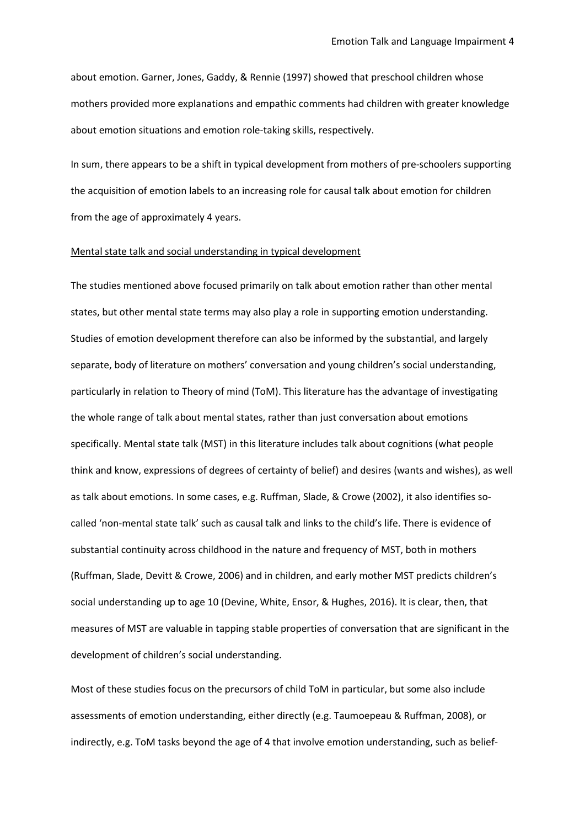about emotion. Garner, Jones, Gaddy, & Rennie (1997) showed that preschool children whose mothers provided more explanations and empathic comments had children with greater knowledge about emotion situations and emotion role-taking skills, respectively.

In sum, there appears to be a shift in typical development from mothers of pre-schoolers supporting the acquisition of emotion labels to an increasing role for causal talk about emotion for children from the age of approximately 4 years.

## Mental state talk and social understanding in typical development

The studies mentioned above focused primarily on talk about emotion rather than other mental states, but other mental state terms may also play a role in supporting emotion understanding. Studies of emotion development therefore can also be informed by the substantial, and largely separate, body of literature on mothers' conversation and young children's social understanding, particularly in relation to Theory of mind (ToM). This literature has the advantage of investigating the whole range of talk about mental states, rather than just conversation about emotions specifically. Mental state talk (MST) in this literature includes talk about cognitions (what people think and know, expressions of degrees of certainty of belief) and desires (wants and wishes), as well as talk about emotions. In some cases, e.g. Ruffman, Slade, & Crowe (2002), it also identifies socalled 'non-mental state talk' such as causal talk and links to the child's life. There is evidence of substantial continuity across childhood in the nature and frequency of MST, both in mothers (Ruffman, Slade, Devitt & Crowe, 2006) and in children, and early mother MST predicts children's social understanding up to age 10 (Devine, White, Ensor, & Hughes, 2016). It is clear, then, that measures of MST are valuable in tapping stable properties of conversation that are significant in the development of children's social understanding.

Most of these studies focus on the precursors of child ToM in particular, but some also include assessments of emotion understanding, either directly (e.g. Taumoepeau & Ruffman, 2008), or indirectly, e.g. ToM tasks beyond the age of 4 that involve emotion understanding, such as belief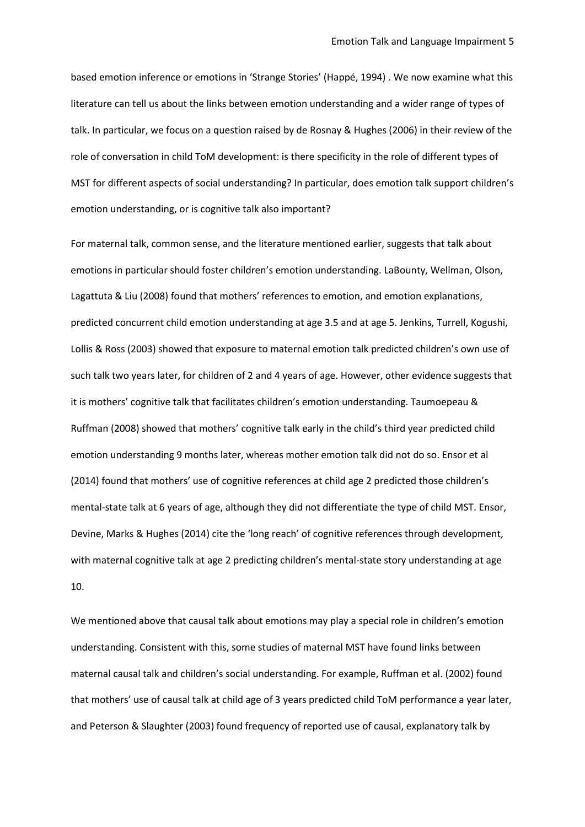based emotion inference or emotions in 'Strange Stories' (Happé, 1994) . We now examine what this literature can tell us about the links between emotion understanding and a wider range of types of talk. In particular, we focus on a question raised by de Rosnay & Hughes (2006) in their review of the role of conversation in child ToM development: is there specificity in the role of different types of MST for different aspects of social understanding? In particular, does emotion talk support children's emotion understanding, or is cognitive talk also important?

For maternal talk, common sense, and the literature mentioned earlier, suggests that talk about emotions in particular should foster children's emotion understanding. LaBounty, Wellman, Olson, Lagattuta & Liu (2008) found that mothers' references to emotion, and emotion explanations, predicted concurrent child emotion understanding at age 3.5 and at age 5. Jenkins, Turrell, Kogushi, Lollis & Ross (2003) showed that exposure to maternal emotion talk predicted children's own use of such talk two years later, for children of 2 and 4 years of age. However, other evidence suggests that it is mothers' cognitive talk that facilitates children's emotion understanding. Taumoepeau & Ruffman (2008) showed that mothers' cognitive talk early in the child's third year predicted child emotion understanding 9 months later, whereas mother emotion talk did not do so. Ensor et al (2014) found that mothers' use of cognitive references at child age 2 predicted those children's mental-state talk at 6 years of age, although they did not differentiate the type of child MST. Ensor, Devine, Marks & Hughes (2014) cite the 'long reach' of cognitive references through development, with maternal cognitive talk at age 2 predicting children's mental-state story understanding at age 10.

We mentioned above that causal talk about emotions may play a special role in children's emotion understanding. Consistent with this, some studies of maternal MST have found links between maternal causal talk and children's social understanding. For example, Ruffman et al. (2002) found that mothers' use of causal talk at child age of 3 years predicted child ToM performance a year later, and Peterson & Slaughter (2003) found frequency of reported use of causal, explanatory talk by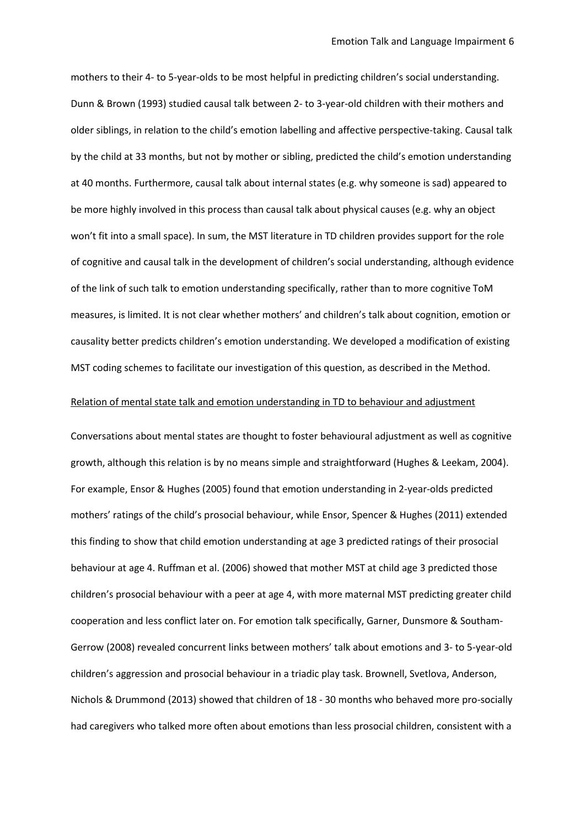mothers to their 4- to 5-year-olds to be most helpful in predicting children's social understanding. Dunn & Brown (1993) studied causal talk between 2- to 3-year-old children with their mothers and older siblings, in relation to the child's emotion labelling and affective perspective-taking. Causal talk by the child at 33 months, but not by mother or sibling, predicted the child's emotion understanding at 40 months. Furthermore, causal talk about internal states (e.g. why someone is sad) appeared to be more highly involved in this process than causal talk about physical causes (e.g. why an object won't fit into a small space). In sum, the MST literature in TD children provides support for the role of cognitive and causal talk in the development of children's social understanding, although evidence of the link of such talk to emotion understanding specifically, rather than to more cognitive ToM measures, is limited. It is not clear whether mothers' and children's talk about cognition, emotion or causality better predicts children's emotion understanding. We developed a modification of existing MST coding schemes to facilitate our investigation of this question, as described in the Method.

## Relation of mental state talk and emotion understanding in TD to behaviour and adjustment

Conversations about mental states are thought to foster behavioural adjustment as well as cognitive growth, although this relation is by no means simple and straightforward (Hughes & Leekam, 2004). For example, Ensor & Hughes (2005) found that emotion understanding in 2-year-olds predicted mothers' ratings of the child's prosocial behaviour, while Ensor, Spencer & Hughes (2011) extended this finding to show that child emotion understanding at age 3 predicted ratings of their prosocial behaviour at age 4. Ruffman et al. (2006) showed that mother MST at child age 3 predicted those children's prosocial behaviour with a peer at age 4, with more maternal MST predicting greater child cooperation and less conflict later on. For emotion talk specifically, Garner, Dunsmore & Southam-Gerrow (2008) revealed concurrent links between mothers' talk about emotions and 3- to 5-year-old children's aggression and prosocial behaviour in a triadic play task. Brownell, Svetlova, Anderson, Nichols & Drummond (2013) showed that children of 18 - 30 months who behaved more pro-socially had caregivers who talked more often about emotions than less prosocial children, consistent with a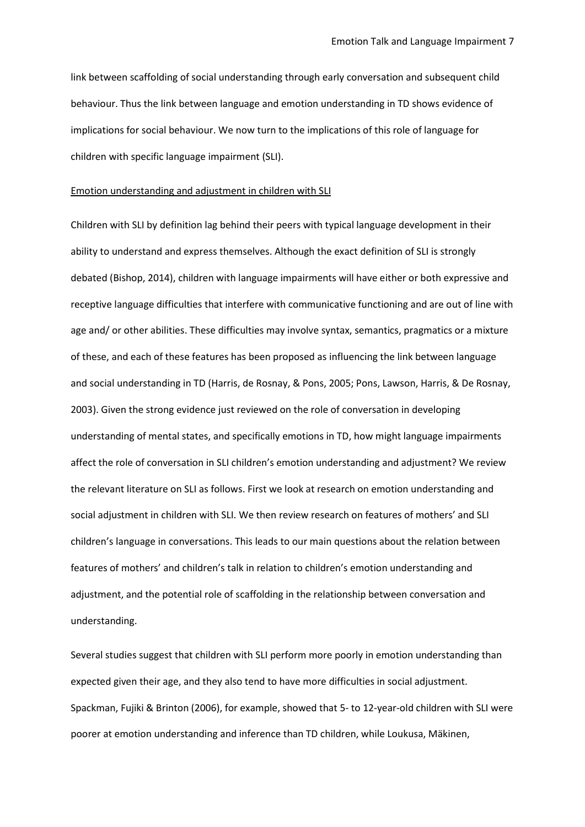link between scaffolding of social understanding through early conversation and subsequent child behaviour. Thus the link between language and emotion understanding in TD shows evidence of implications for social behaviour. We now turn to the implications of this role of language for children with specific language impairment (SLI).

## Emotion understanding and adjustment in children with SLI

Children with SLI by definition lag behind their peers with typical language development in their ability to understand and express themselves. Although the exact definition of SLI is strongly debated (Bishop, 2014), children with language impairments will have either or both expressive and receptive language difficulties that interfere with communicative functioning and are out of line with age and/ or other abilities. These difficulties may involve syntax, semantics, pragmatics or a mixture of these, and each of these features has been proposed as influencing the link between language and social understanding in TD (Harris, de Rosnay, & Pons, 2005; Pons, Lawson, Harris, & De Rosnay, 2003). Given the strong evidence just reviewed on the role of conversation in developing understanding of mental states, and specifically emotions in TD, how might language impairments affect the role of conversation in SLI children's emotion understanding and adjustment? We review the relevant literature on SLI as follows. First we look at research on emotion understanding and social adjustment in children with SLI. We then review research on features of mothers' and SLI children's language in conversations. This leads to our main questions about the relation between features of mothers' and children's talk in relation to children's emotion understanding and adjustment, and the potential role of scaffolding in the relationship between conversation and understanding.

Several studies suggest that children with SLI perform more poorly in emotion understanding than expected given their age, and they also tend to have more difficulties in social adjustment. Spackman, Fujiki & Brinton (2006), for example, showed that 5- to 12-year-old children with SLI were poorer at emotion understanding and inference than TD children, while Loukusa, Mäkinen,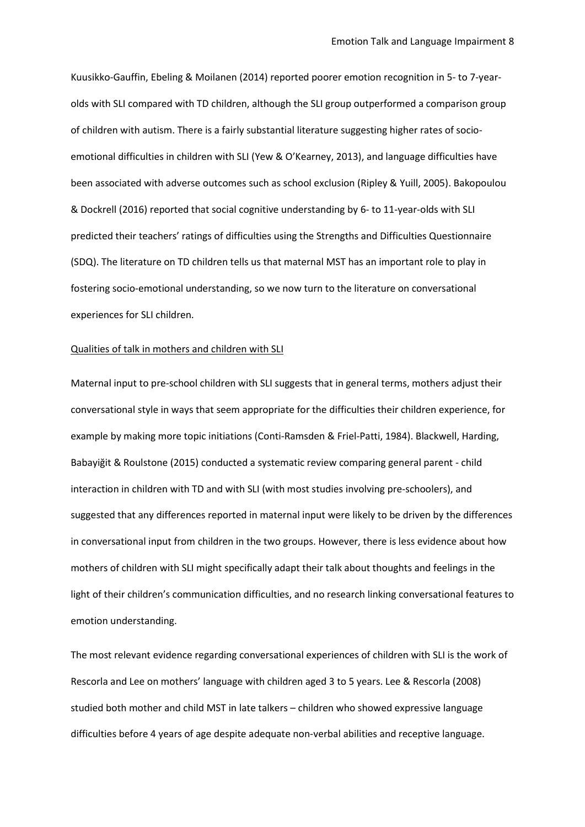Kuusikko-Gauffin, Ebeling & Moilanen (2014) reported poorer emotion recognition in 5- to 7-yearolds with SLI compared with TD children, although the SLI group outperformed a comparison group of children with autism. There is a fairly substantial literature suggesting higher rates of socioemotional difficulties in children with SLI (Yew & O'Kearney, 2013), and language difficulties have been associated with adverse outcomes such as school exclusion (Ripley & Yuill, 2005). Bakopoulou & Dockrell (2016) reported that social cognitive understanding by 6- to 11-year-olds with SLI predicted their teachers' ratings of difficulties using the Strengths and Difficulties Questionnaire (SDQ). The literature on TD children tells us that maternal MST has an important role to play in fostering socio-emotional understanding, so we now turn to the literature on conversational experiences for SLI children.

## Qualities of talk in mothers and children with SLI

Maternal input to pre-school children with SLI suggests that in general terms, mothers adjust their conversational style in ways that seem appropriate for the difficulties their children experience, for example by making more topic initiations (Conti-Ramsden & Friel-Patti, 1984). Blackwell, Harding, Babayiğit & Roulstone (2015) conducted a systematic review comparing general parent - child interaction in children with TD and with SLI (with most studies involving pre-schoolers), and suggested that any differences reported in maternal input were likely to be driven by the differences in conversational input from children in the two groups. However, there is less evidence about how mothers of children with SLI might specifically adapt their talk about thoughts and feelings in the light of their children's communication difficulties, and no research linking conversational features to emotion understanding.

The most relevant evidence regarding conversational experiences of children with SLI is the work of Rescorla and Lee on mothers' language with children aged 3 to 5 years. Lee & Rescorla (2008) studied both mother and child MST in late talkers – children who showed expressive language difficulties before 4 years of age despite adequate non-verbal abilities and receptive language.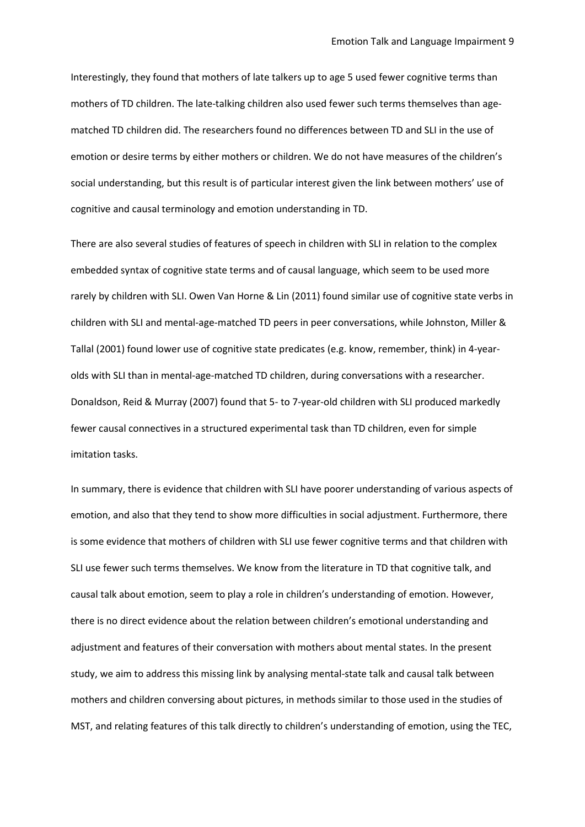Interestingly, they found that mothers of late talkers up to age 5 used fewer cognitive terms than mothers of TD children. The late-talking children also used fewer such terms themselves than agematched TD children did. The researchers found no differences between TD and SLI in the use of emotion or desire terms by either mothers or children. We do not have measures of the children's social understanding, but this result is of particular interest given the link between mothers' use of cognitive and causal terminology and emotion understanding in TD.

There are also several studies of features of speech in children with SLI in relation to the complex embedded syntax of cognitive state terms and of causal language, which seem to be used more rarely by children with SLI. Owen Van Horne & Lin (2011) found similar use of cognitive state verbs in children with SLI and mental-age-matched TD peers in peer conversations, while Johnston, Miller & Tallal (2001) found lower use of cognitive state predicates (e.g. know, remember, think) in 4-yearolds with SLI than in mental-age-matched TD children, during conversations with a researcher. Donaldson, Reid & Murray (2007) found that 5- to 7-year-old children with SLI produced markedly fewer causal connectives in a structured experimental task than TD children, even for simple imitation tasks.

In summary, there is evidence that children with SLI have poorer understanding of various aspects of emotion, and also that they tend to show more difficulties in social adjustment. Furthermore, there is some evidence that mothers of children with SLI use fewer cognitive terms and that children with SLI use fewer such terms themselves. We know from the literature in TD that cognitive talk, and causal talk about emotion, seem to play a role in children's understanding of emotion. However, there is no direct evidence about the relation between children's emotional understanding and adjustment and features of their conversation with mothers about mental states. In the present study, we aim to address this missing link by analysing mental-state talk and causal talk between mothers and children conversing about pictures, in methods similar to those used in the studies of MST, and relating features of this talk directly to children's understanding of emotion, using the TEC,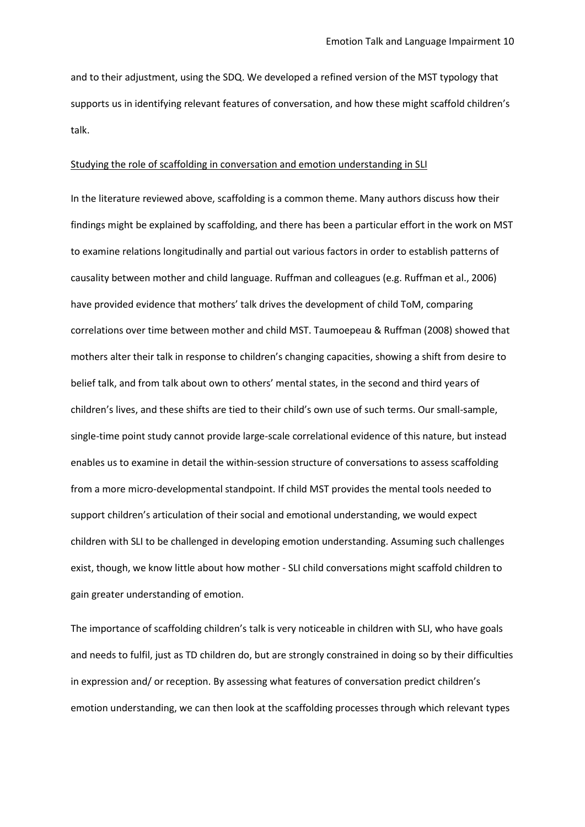and to their adjustment, using the SDQ. We developed a refined version of the MST typology that supports us in identifying relevant features of conversation, and how these might scaffold children's talk.

#### Studying the role of scaffolding in conversation and emotion understanding in SLI

In the literature reviewed above, scaffolding is a common theme. Many authors discuss how their findings might be explained by scaffolding, and there has been a particular effort in the work on MST to examine relations longitudinally and partial out various factors in order to establish patterns of causality between mother and child language. Ruffman and colleagues (e.g. Ruffman et al., 2006) have provided evidence that mothers' talk drives the development of child ToM, comparing correlations over time between mother and child MST. Taumoepeau & Ruffman (2008) showed that mothers alter their talk in response to children's changing capacities, showing a shift from desire to belief talk, and from talk about own to others' mental states, in the second and third years of children's lives, and these shifts are tied to their child's own use of such terms. Our small-sample, single-time point study cannot provide large-scale correlational evidence of this nature, but instead enables us to examine in detail the within-session structure of conversations to assess scaffolding from a more micro-developmental standpoint. If child MST provides the mental tools needed to support children's articulation of their social and emotional understanding, we would expect children with SLI to be challenged in developing emotion understanding. Assuming such challenges exist, though, we know little about how mother - SLI child conversations might scaffold children to gain greater understanding of emotion.

The importance of scaffolding children's talk is very noticeable in children with SLI, who have goals and needs to fulfil, just as TD children do, but are strongly constrained in doing so by their difficulties in expression and/ or reception. By assessing what features of conversation predict children's emotion understanding, we can then look at the scaffolding processes through which relevant types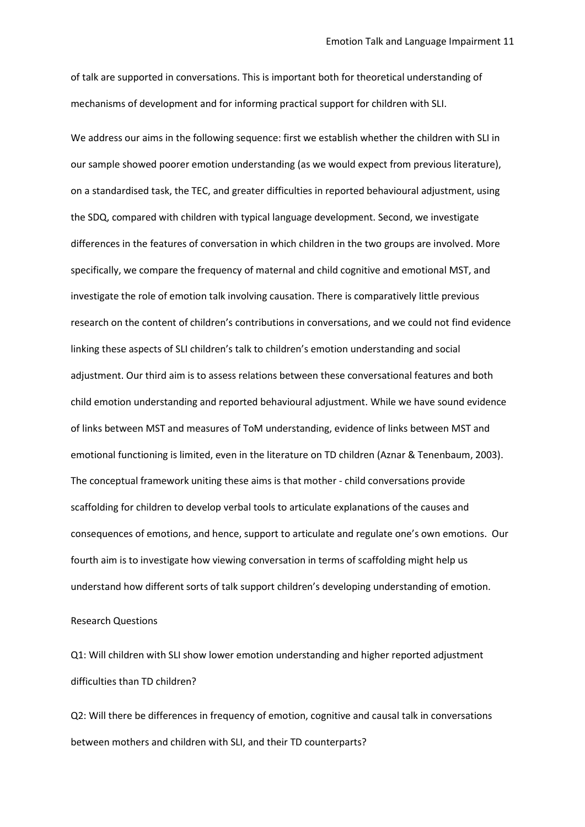of talk are supported in conversations. This is important both for theoretical understanding of mechanisms of development and for informing practical support for children with SLI.

We address our aims in the following sequence: first we establish whether the children with SLI in our sample showed poorer emotion understanding (as we would expect from previous literature), on a standardised task, the TEC, and greater difficulties in reported behavioural adjustment, using the SDQ, compared with children with typical language development. Second, we investigate differences in the features of conversation in which children in the two groups are involved. More specifically, we compare the frequency of maternal and child cognitive and emotional MST, and investigate the role of emotion talk involving causation. There is comparatively little previous research on the content of children's contributions in conversations, and we could not find evidence linking these aspects of SLI children's talk to children's emotion understanding and social adjustment. Our third aim is to assess relations between these conversational features and both child emotion understanding and reported behavioural adjustment. While we have sound evidence of links between MST and measures of ToM understanding, evidence of links between MST and emotional functioning is limited, even in the literature on TD children (Aznar & Tenenbaum, 2003). The conceptual framework uniting these aims is that mother - child conversations provide scaffolding for children to develop verbal tools to articulate explanations of the causes and consequences of emotions, and hence, support to articulate and regulate one's own emotions. Our fourth aim is to investigate how viewing conversation in terms of scaffolding might help us understand how different sorts of talk support children's developing understanding of emotion.

Research Questions

Q1: Will children with SLI show lower emotion understanding and higher reported adjustment difficulties than TD children?

Q2: Will there be differences in frequency of emotion, cognitive and causal talk in conversations between mothers and children with SLI, and their TD counterparts?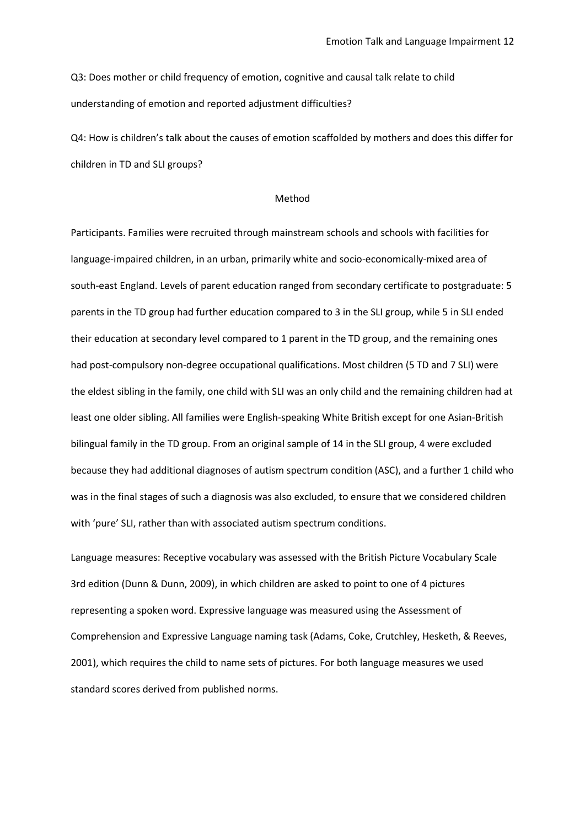Q3: Does mother or child frequency of emotion, cognitive and causal talk relate to child understanding of emotion and reported adjustment difficulties?

Q4: How is children's talk about the causes of emotion scaffolded by mothers and does this differ for children in TD and SLI groups?

## Method

Participants. Families were recruited through mainstream schools and schools with facilities for language-impaired children, in an urban, primarily white and socio-economically-mixed area of south-east England. Levels of parent education ranged from secondary certificate to postgraduate: 5 parents in the TD group had further education compared to 3 in the SLI group, while 5 in SLI ended their education at secondary level compared to 1 parent in the TD group, and the remaining ones had post-compulsory non-degree occupational qualifications. Most children (5 TD and 7 SLI) were the eldest sibling in the family, one child with SLI was an only child and the remaining children had at least one older sibling. All families were English-speaking White British except for one Asian-British bilingual family in the TD group. From an original sample of 14 in the SLI group, 4 were excluded because they had additional diagnoses of autism spectrum condition (ASC), and a further 1 child who was in the final stages of such a diagnosis was also excluded, to ensure that we considered children with 'pure' SLI, rather than with associated autism spectrum conditions.

Language measures: Receptive vocabulary was assessed with the British Picture Vocabulary Scale 3rd edition (Dunn & Dunn, 2009), in which children are asked to point to one of 4 pictures representing a spoken word. Expressive language was measured using the Assessment of Comprehension and Expressive Language naming task (Adams, Coke, Crutchley, Hesketh, & Reeves, 2001), which requires the child to name sets of pictures. For both language measures we used standard scores derived from published norms.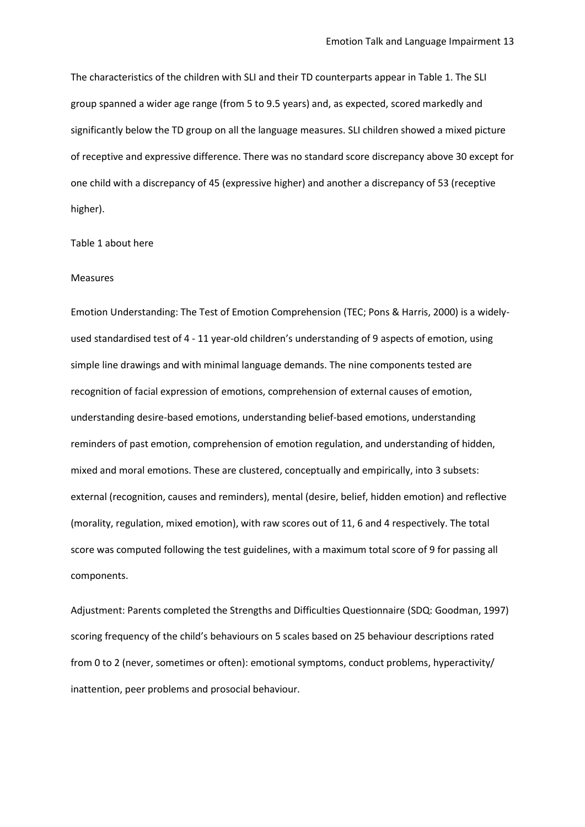The characteristics of the children with SLI and their TD counterparts appear in Table 1. The SLI group spanned a wider age range (from 5 to 9.5 years) and, as expected, scored markedly and significantly below the TD group on all the language measures. SLI children showed a mixed picture of receptive and expressive difference. There was no standard score discrepancy above 30 except for one child with a discrepancy of 45 (expressive higher) and another a discrepancy of 53 (receptive higher).

### Table 1 about here

#### Measures

Emotion Understanding: The Test of Emotion Comprehension (TEC; Pons & Harris, 2000) is a widelyused standardised test of 4 - 11 year-old children's understanding of 9 aspects of emotion, using simple line drawings and with minimal language demands. The nine components tested are recognition of facial expression of emotions, comprehension of external causes of emotion, understanding desire-based emotions, understanding belief-based emotions, understanding reminders of past emotion, comprehension of emotion regulation, and understanding of hidden, mixed and moral emotions. These are clustered, conceptually and empirically, into 3 subsets: external (recognition, causes and reminders), mental (desire, belief, hidden emotion) and reflective (morality, regulation, mixed emotion), with raw scores out of 11, 6 and 4 respectively. The total score was computed following the test guidelines, with a maximum total score of 9 for passing all components.

Adjustment: Parents completed the Strengths and Difficulties Questionnaire (SDQ: Goodman, 1997) scoring frequency of the child's behaviours on 5 scales based on 25 behaviour descriptions rated from 0 to 2 (never, sometimes or often): emotional symptoms, conduct problems, hyperactivity/ inattention, peer problems and prosocial behaviour.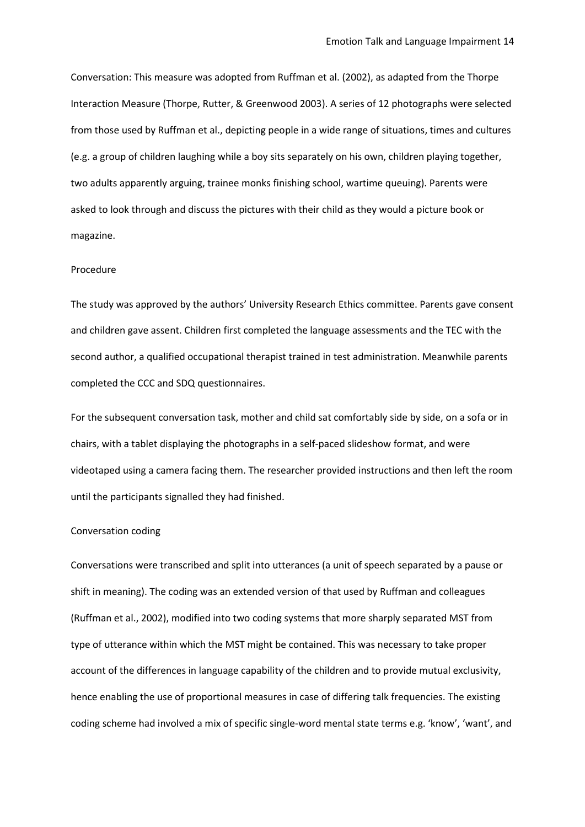Conversation: This measure was adopted from Ruffman et al. (2002), as adapted from the Thorpe Interaction Measure (Thorpe, Rutter, & Greenwood 2003). A series of 12 photographs were selected from those used by Ruffman et al., depicting people in a wide range of situations, times and cultures (e.g. a group of children laughing while a boy sits separately on his own, children playing together, two adults apparently arguing, trainee monks finishing school, wartime queuing). Parents were asked to look through and discuss the pictures with their child as they would a picture book or magazine.

#### Procedure

The study was approved by the authors' University Research Ethics committee. Parents gave consent and children gave assent. Children first completed the language assessments and the TEC with the second author, a qualified occupational therapist trained in test administration. Meanwhile parents completed the CCC and SDQ questionnaires.

For the subsequent conversation task, mother and child sat comfortably side by side, on a sofa or in chairs, with a tablet displaying the photographs in a self-paced slideshow format, and were videotaped using a camera facing them. The researcher provided instructions and then left the room until the participants signalled they had finished.

## Conversation coding

Conversations were transcribed and split into utterances (a unit of speech separated by a pause or shift in meaning). The coding was an extended version of that used by Ruffman and colleagues (Ruffman et al., 2002), modified into two coding systems that more sharply separated MST from type of utterance within which the MST might be contained. This was necessary to take proper account of the differences in language capability of the children and to provide mutual exclusivity, hence enabling the use of proportional measures in case of differing talk frequencies. The existing coding scheme had involved a mix of specific single-word mental state terms e.g. 'know', 'want', and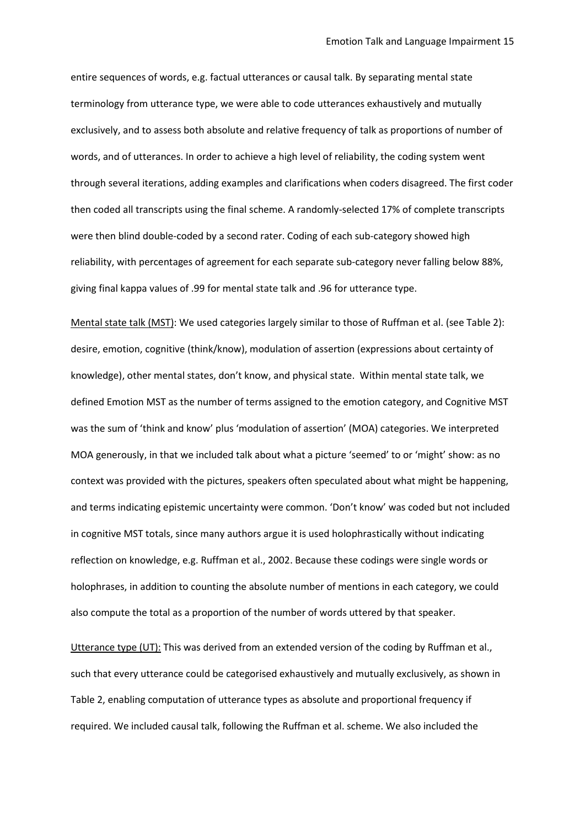entire sequences of words, e.g. factual utterances or causal talk. By separating mental state terminology from utterance type, we were able to code utterances exhaustively and mutually exclusively, and to assess both absolute and relative frequency of talk as proportions of number of words, and of utterances. In order to achieve a high level of reliability, the coding system went through several iterations, adding examples and clarifications when coders disagreed. The first coder then coded all transcripts using the final scheme. A randomly-selected 17% of complete transcripts were then blind double-coded by a second rater. Coding of each sub-category showed high reliability, with percentages of agreement for each separate sub-category never falling below 88%, giving final kappa values of .99 for mental state talk and .96 for utterance type.

Mental state talk (MST): We used categories largely similar to those of Ruffman et al. (see Table 2): desire, emotion, cognitive (think/know), modulation of assertion (expressions about certainty of knowledge), other mental states, don't know, and physical state. Within mental state talk, we defined Emotion MST as the number of terms assigned to the emotion category, and Cognitive MST was the sum of 'think and know' plus 'modulation of assertion' (MOA) categories. We interpreted MOA generously, in that we included talk about what a picture 'seemed' to or 'might' show: as no context was provided with the pictures, speakers often speculated about what might be happening, and terms indicating epistemic uncertainty were common. 'Don't know' was coded but not included in cognitive MST totals, since many authors argue it is used holophrastically without indicating reflection on knowledge, e.g. Ruffman et al., 2002. Because these codings were single words or holophrases, in addition to counting the absolute number of mentions in each category, we could also compute the total as a proportion of the number of words uttered by that speaker.

Utterance type (UT): This was derived from an extended version of the coding by Ruffman et al., such that every utterance could be categorised exhaustively and mutually exclusively, as shown in Table 2, enabling computation of utterance types as absolute and proportional frequency if required. We included causal talk, following the Ruffman et al. scheme. We also included the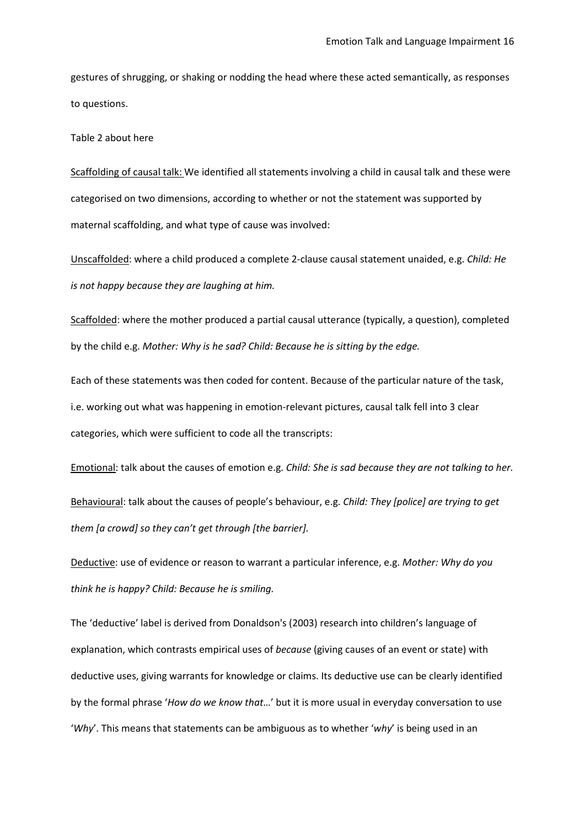gestures of shrugging, or shaking or nodding the head where these acted semantically, as responses to questions.

Table 2 about here

Scaffolding of causal talk: We identified all statements involving a child in causal talk and these were categorised on two dimensions, according to whether or not the statement was supported by maternal scaffolding, and what type of cause was involved:

Unscaffolded: where a child produced a complete 2-clause causal statement unaided, e.g. Child: He is not happy because they are laughing at him.

Scaffolded: where the mother produced a partial causal utterance (typically, a question), completed by the child e.g. Mother: Why is he sad? Child: Because he is sitting by the edge.

Each of these statements was then coded for content. Because of the particular nature of the task, i.e. working out what was happening in emotion-relevant pictures, causal talk fell into 3 clear categories, which were sufficient to code all the transcripts:

Emotional: talk about the causes of emotion e.g. Child: She is sad because they are not talking to her.

Behavioural: talk about the causes of people's behaviour, e.g. Child: They [police] are trying to get them [a crowd] so they can't get through [the barrier].

Deductive: use of evidence or reason to warrant a particular inference, e.g. Mother: Why do you think he is happy? Child: Because he is smiling.

The 'deductive' label is derived from Donaldson's (2003) research into children's language of explanation, which contrasts empirical uses of because (giving causes of an event or state) with deductive uses, giving warrants for knowledge or claims. Its deductive use can be clearly identified by the formal phrase 'How do we know that...' but it is more usual in everyday conversation to use 'Why'. This means that statements can be ambiguous as to whether 'why' is being used in an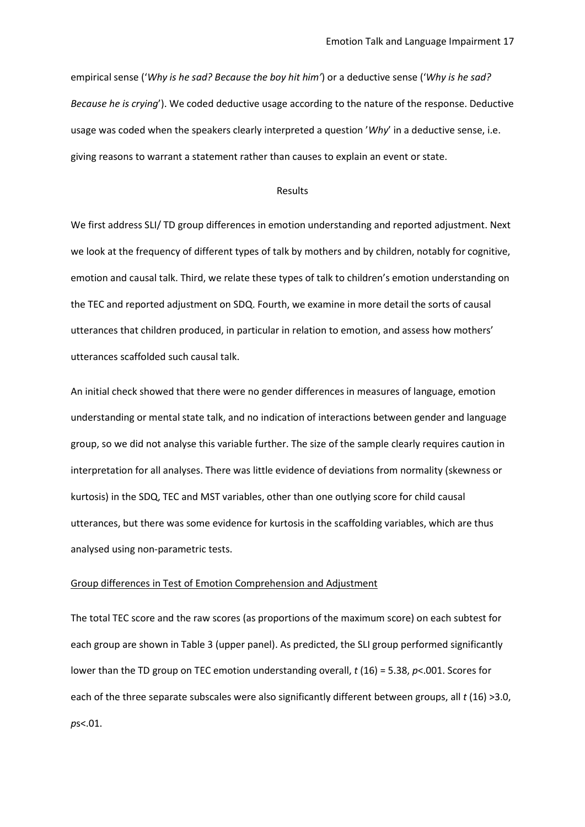empirical sense ('Why is he sad? Because the boy hit him') or a deductive sense ('Why is he sad? Because he is crying'). We coded deductive usage according to the nature of the response. Deductive usage was coded when the speakers clearly interpreted a question 'Why' in a deductive sense, i.e. giving reasons to warrant a statement rather than causes to explain an event or state.

## Results

We first address SLI/ TD group differences in emotion understanding and reported adjustment. Next we look at the frequency of different types of talk by mothers and by children, notably for cognitive, emotion and causal talk. Third, we relate these types of talk to children's emotion understanding on the TEC and reported adjustment on SDQ. Fourth, we examine in more detail the sorts of causal utterances that children produced, in particular in relation to emotion, and assess how mothers' utterances scaffolded such causal talk.

An initial check showed that there were no gender differences in measures of language, emotion understanding or mental state talk, and no indication of interactions between gender and language group, so we did not analyse this variable further. The size of the sample clearly requires caution in interpretation for all analyses. There was little evidence of deviations from normality (skewness or kurtosis) in the SDQ, TEC and MST variables, other than one outlying score for child causal utterances, but there was some evidence for kurtosis in the scaffolding variables, which are thus analysed using non-parametric tests.

#### Group differences in Test of Emotion Comprehension and Adjustment

The total TEC score and the raw scores (as proportions of the maximum score) on each subtest for each group are shown in Table 3 (upper panel). As predicted, the SLI group performed significantly lower than the TD group on TEC emotion understanding overall,  $t$  (16) = 5.38,  $p$ <.001. Scores for each of the three separate subscales were also significantly different between groups, all  $t$  (16) >3.0, ps<.01.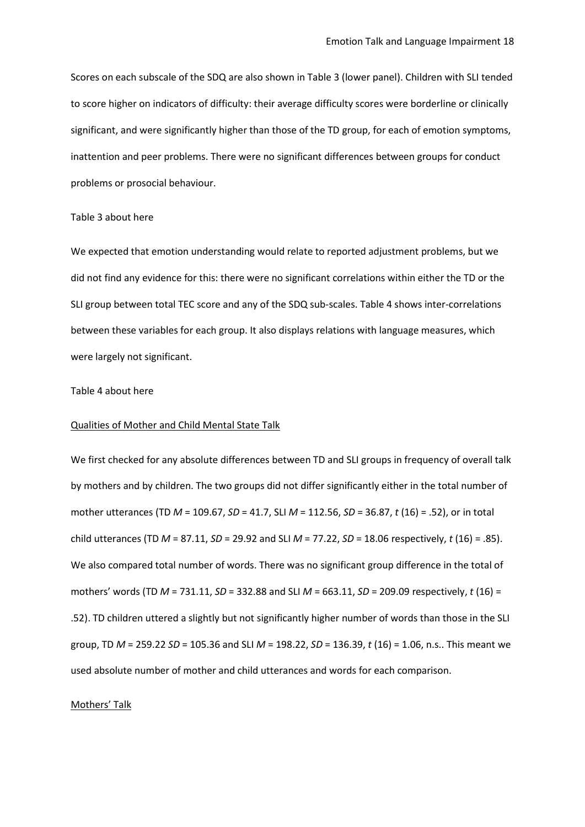Scores on each subscale of the SDQ are also shown in Table 3 (lower panel). Children with SLI tended to score higher on indicators of difficulty: their average difficulty scores were borderline or clinically significant, and were significantly higher than those of the TD group, for each of emotion symptoms, inattention and peer problems. There were no significant differences between groups for conduct problems or prosocial behaviour.

#### Table 3 about here

We expected that emotion understanding would relate to reported adjustment problems, but we did not find any evidence for this: there were no significant correlations within either the TD or the SLI group between total TEC score and any of the SDQ sub-scales. Table 4 shows inter-correlations between these variables for each group. It also displays relations with language measures, which were largely not significant.

## Table 4 about here

## Qualities of Mother and Child Mental State Talk

We first checked for any absolute differences between TD and SLI groups in frequency of overall talk by mothers and by children. The two groups did not differ significantly either in the total number of mother utterances (TD  $M = 109.67$ ,  $SD = 41.7$ , SLI  $M = 112.56$ ,  $SD = 36.87$ ,  $t(16) = .52$ ), or in total child utterances (TD  $M = 87.11$ ,  $SD = 29.92$  and SLI  $M = 77.22$ ,  $SD = 18.06$  respectively, t (16) = .85). We also compared total number of words. There was no significant group difference in the total of mothers' words (TD  $M = 731.11$ ,  $SD = 332.88$  and SLI  $M = 663.11$ ,  $SD = 209.09$  respectively, t (16) = .52). TD children uttered a slightly but not significantly higher number of words than those in the SLI group, TD  $M = 259.22$   $SD = 105.36$  and SLI  $M = 198.22$ ,  $SD = 136.39$ ,  $t$  (16) = 1.06, n.s.. This meant we used absolute number of mother and child utterances and words for each comparison.

#### Mothers' Talk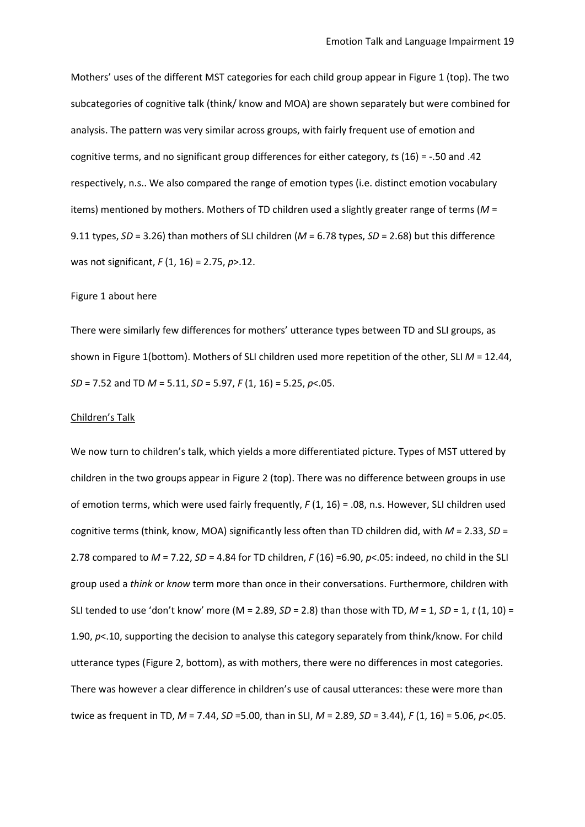Mothers' uses of the different MST categories for each child group appear in Figure 1 (top). The two subcategories of cognitive talk (think/ know and MOA) are shown separately but were combined for analysis. The pattern was very similar across groups, with fairly frequent use of emotion and cognitive terms, and no significant group differences for either category, ts (16) = -.50 and .42 respectively, n.s.. We also compared the range of emotion types (i.e. distinct emotion vocabulary items) mentioned by mothers. Mothers of TD children used a slightly greater range of terms ( $M =$ 9.11 types,  $SD = 3.26$ ) than mothers of SLI children ( $M = 6.78$  types,  $SD = 2.68$ ) but this difference was not significant,  $F(1, 16) = 2.75$ ,  $p > 12$ .

## Figure 1 about here

There were similarly few differences for mothers' utterance types between TD and SLI groups, as shown in Figure 1(bottom). Mothers of SLI children used more repetition of the other, SLI  $M = 12.44$ ,  $SD = 7.52$  and TD  $M = 5.11$ ,  $SD = 5.97$ ,  $F(1, 16) = 5.25$ ,  $p < 0.05$ .

### Children's Talk

We now turn to children's talk, which yields a more differentiated picture. Types of MST uttered by children in the two groups appear in Figure 2 (top). There was no difference between groups in use of emotion terms, which were used fairly frequently,  $F(1, 16) = .08$ , n.s. However, SLI children used cognitive terms (think, know, MOA) significantly less often than TD children did, with  $M = 2.33$ , SD = 2.78 compared to  $M = 7.22$ ,  $SD = 4.84$  for TD children,  $F(16) = 6.90$ ,  $p < 0.05$ : indeed, no child in the SLI group used a think or know term more than once in their conversations. Furthermore, children with SLI tended to use 'don't know' more (M = 2.89,  $SD = 2.8$ ) than those with TD, M = 1, SD = 1, t (1, 10) = 1.90, p<.10, supporting the decision to analyse this category separately from think/know. For child utterance types (Figure 2, bottom), as with mothers, there were no differences in most categories. There was however a clear difference in children's use of causal utterances: these were more than twice as frequent in TD,  $M = 7.44$ ,  $SD = 5.00$ , than in SLI,  $M = 2.89$ ,  $SD = 3.44$ ),  $F(1, 16) = 5.06$ ,  $p < 05$ .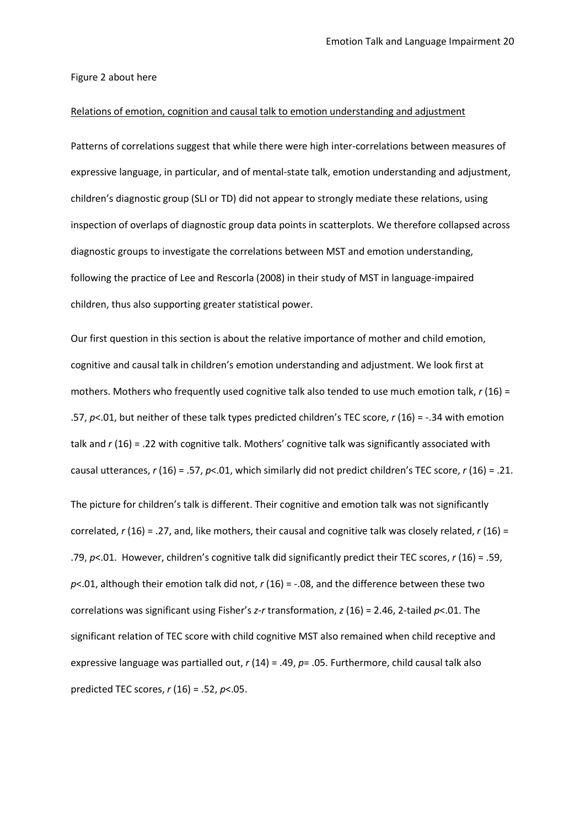#### Figure 2 about here

## Relations of emotion, cognition and causal talk to emotion understanding and adjustment

Patterns of correlations suggest that while there were high inter-correlations between measures of expressive language, in particular, and of mental-state talk, emotion understanding and adjustment, children's diagnostic group (SLI or TD) did not appear to strongly mediate these relations, using inspection of overlaps of diagnostic group data points in scatterplots. We therefore collapsed across diagnostic groups to investigate the correlations between MST and emotion understanding, following the practice of Lee and Rescorla (2008) in their study of MST in language-impaired children, thus also supporting greater statistical power.

Our first question in this section is about the relative importance of mother and child emotion, cognitive and causal talk in children's emotion understanding and adjustment. We look first at mothers. Mothers who frequently used cognitive talk also tended to use much emotion talk,  $r(16) =$ .57,  $p$ <.01, but neither of these talk types predicted children's TEC score,  $r$  (16) = -.34 with emotion talk and  $r$  (16) = .22 with cognitive talk. Mothers' cognitive talk was significantly associated with causal utterances,  $r(16) = .57$ ,  $p<0.01$ , which similarly did not predict children's TEC score,  $r(16) = .21$ . The picture for children's talk is different. Their cognitive and emotion talk was not significantly correlated,  $r(16) = .27$ , and, like mothers, their causal and cognitive talk was closely related,  $r(16) =$ .79,  $p$ <.01. However, children's cognitive talk did significantly predict their TEC scores,  $r(16) = .59$ ,  $p$ <.01, although their emotion talk did not,  $r(16)$  = -.08, and the difference between these two correlations was significant using Fisher's z-r transformation,  $z(16) = 2.46$ , 2-tailed  $p<01$ . The significant relation of TEC score with child cognitive MST also remained when child receptive and expressive language was partialled out,  $r$  (14) = .49,  $p=$  .05. Furthermore, child causal talk also predicted TEC scores,  $r(16) = .52$ ,  $p<.05$ .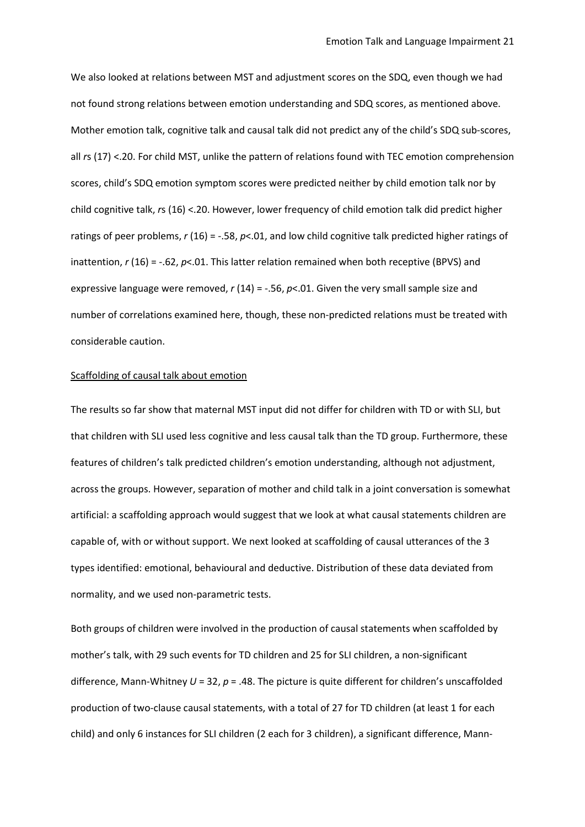We also looked at relations between MST and adjustment scores on the SDQ, even though we had not found strong relations between emotion understanding and SDQ scores, as mentioned above. Mother emotion talk, cognitive talk and causal talk did not predict any of the child's SDQ sub-scores, all rs (17) <.20. For child MST, unlike the pattern of relations found with TEC emotion comprehension scores, child's SDQ emotion symptom scores were predicted neither by child emotion talk nor by child cognitive talk, rs (16) <.20. However, lower frequency of child emotion talk did predict higher ratings of peer problems,  $r(16) = -.58$ ,  $p<0.01$ , and low child cognitive talk predicted higher ratings of inattention,  $r(16) = -.62$ ,  $p<.01$ . This latter relation remained when both receptive (BPVS) and expressive language were removed,  $r(14) = -0.56$ ,  $p<0.01$ . Given the very small sample size and number of correlations examined here, though, these non-predicted relations must be treated with considerable caution.

## Scaffolding of causal talk about emotion

The results so far show that maternal MST input did not differ for children with TD or with SLI, but that children with SLI used less cognitive and less causal talk than the TD group. Furthermore, these features of children's talk predicted children's emotion understanding, although not adjustment, across the groups. However, separation of mother and child talk in a joint conversation is somewhat artificial: a scaffolding approach would suggest that we look at what causal statements children are capable of, with or without support. We next looked at scaffolding of causal utterances of the 3 types identified: emotional, behavioural and deductive. Distribution of these data deviated from normality, and we used non-parametric tests.

Both groups of children were involved in the production of causal statements when scaffolded by mother's talk, with 29 such events for TD children and 25 for SLI children, a non-significant difference, Mann-Whitney  $U = 32$ ,  $p = .48$ . The picture is quite different for children's unscaffolded production of two-clause causal statements, with a total of 27 for TD children (at least 1 for each child) and only 6 instances for SLI children (2 each for 3 children), a significant difference, Mann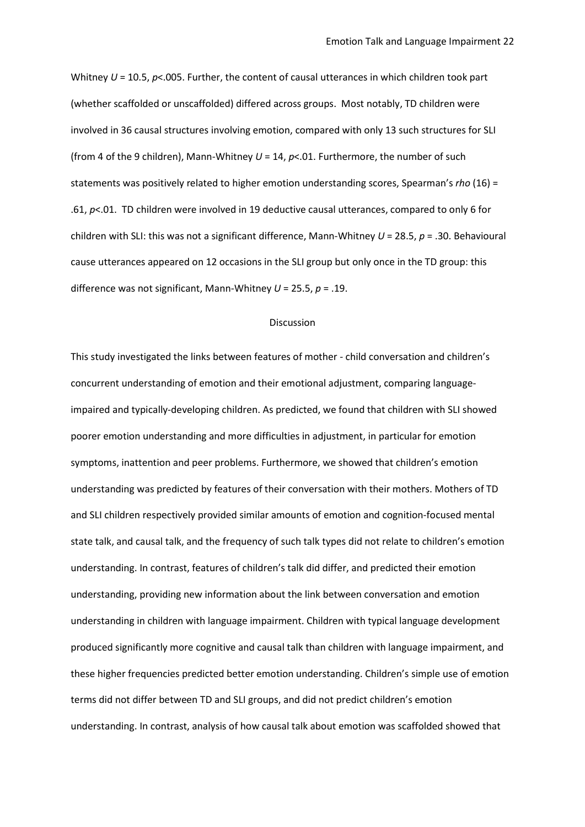Whitney  $U = 10.5$ , p<.005. Further, the content of causal utterances in which children took part (whether scaffolded or unscaffolded) differed across groups. Most notably, TD children were involved in 36 causal structures involving emotion, compared with only 13 such structures for SLI (from 4 of the 9 children), Mann-Whitney  $U = 14$ ,  $p<01$ . Furthermore, the number of such statements was positively related to higher emotion understanding scores, Spearman's rho  $(16)$  = .61,  $p$ <.01. TD children were involved in 19 deductive causal utterances, compared to only 6 for children with SLI: this was not a significant difference, Mann-Whitney  $U = 28.5$ ,  $p = .30$ . Behavioural cause utterances appeared on 12 occasions in the SLI group but only once in the TD group: this difference was not significant, Mann-Whitney  $U = 25.5$ ,  $p = .19$ .

## Discussion

This study investigated the links between features of mother - child conversation and children's concurrent understanding of emotion and their emotional adjustment, comparing languageimpaired and typically-developing children. As predicted, we found that children with SLI showed poorer emotion understanding and more difficulties in adjustment, in particular for emotion symptoms, inattention and peer problems. Furthermore, we showed that children's emotion understanding was predicted by features of their conversation with their mothers. Mothers of TD and SLI children respectively provided similar amounts of emotion and cognition-focused mental state talk, and causal talk, and the frequency of such talk types did not relate to children's emotion understanding. In contrast, features of children's talk did differ, and predicted their emotion understanding, providing new information about the link between conversation and emotion understanding in children with language impairment. Children with typical language development produced significantly more cognitive and causal talk than children with language impairment, and these higher frequencies predicted better emotion understanding. Children's simple use of emotion terms did not differ between TD and SLI groups, and did not predict children's emotion understanding. In contrast, analysis of how causal talk about emotion was scaffolded showed that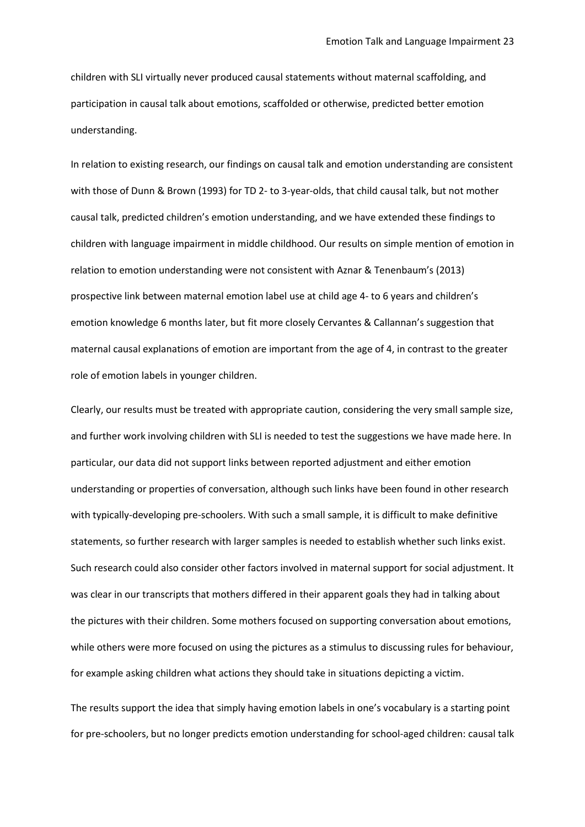children with SLI virtually never produced causal statements without maternal scaffolding, and participation in causal talk about emotions, scaffolded or otherwise, predicted better emotion understanding.

In relation to existing research, our findings on causal talk and emotion understanding are consistent with those of Dunn & Brown (1993) for TD 2- to 3-year-olds, that child causal talk, but not mother causal talk, predicted children's emotion understanding, and we have extended these findings to children with language impairment in middle childhood. Our results on simple mention of emotion in relation to emotion understanding were not consistent with Aznar & Tenenbaum's (2013) prospective link between maternal emotion label use at child age 4- to 6 years and children's emotion knowledge 6 months later, but fit more closely Cervantes & Callannan's suggestion that maternal causal explanations of emotion are important from the age of 4, in contrast to the greater role of emotion labels in younger children.

Clearly, our results must be treated with appropriate caution, considering the very small sample size, and further work involving children with SLI is needed to test the suggestions we have made here. In particular, our data did not support links between reported adjustment and either emotion understanding or properties of conversation, although such links have been found in other research with typically-developing pre-schoolers. With such a small sample, it is difficult to make definitive statements, so further research with larger samples is needed to establish whether such links exist. Such research could also consider other factors involved in maternal support for social adjustment. It was clear in our transcripts that mothers differed in their apparent goals they had in talking about the pictures with their children. Some mothers focused on supporting conversation about emotions, while others were more focused on using the pictures as a stimulus to discussing rules for behaviour, for example asking children what actions they should take in situations depicting a victim.

The results support the idea that simply having emotion labels in one's vocabulary is a starting point for pre-schoolers, but no longer predicts emotion understanding for school-aged children: causal talk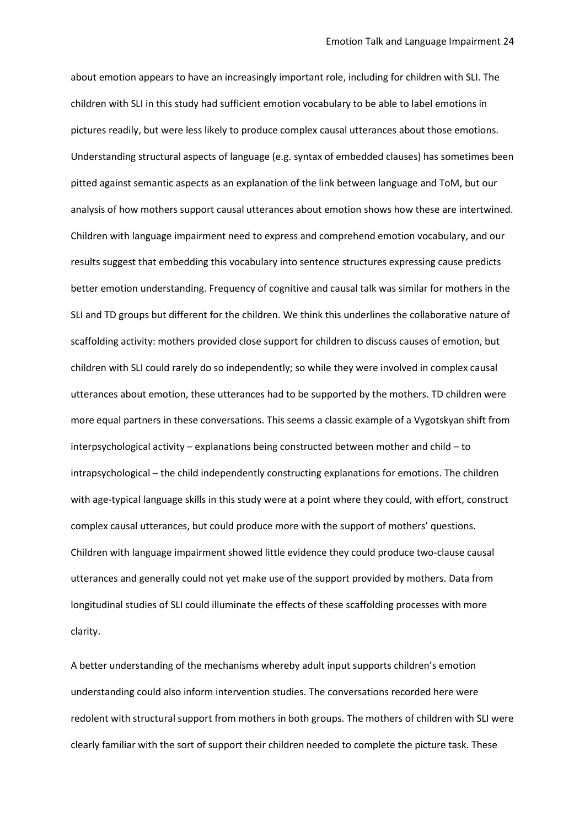about emotion appears to have an increasingly important role, including for children with SLI. The children with SLI in this study had sufficient emotion vocabulary to be able to label emotions in pictures readily, but were less likely to produce complex causal utterances about those emotions. Understanding structural aspects of language (e.g. syntax of embedded clauses) has sometimes been pitted against semantic aspects as an explanation of the link between language and ToM, but our analysis of how mothers support causal utterances about emotion shows how these are intertwined. Children with language impairment need to express and comprehend emotion vocabulary, and our results suggest that embedding this vocabulary into sentence structures expressing cause predicts better emotion understanding. Frequency of cognitive and causal talk was similar for mothers in the SLI and TD groups but different for the children. We think this underlines the collaborative nature of scaffolding activity: mothers provided close support for children to discuss causes of emotion, but children with SLI could rarely do so independently; so while they were involved in complex causal utterances about emotion, these utterances had to be supported by the mothers. TD children were more equal partners in these conversations. This seems a classic example of a Vygotskyan shift from interpsychological activity – explanations being constructed between mother and child – to intrapsychological – the child independently constructing explanations for emotions. The children with age-typical language skills in this study were at a point where they could, with effort, construct complex causal utterances, but could produce more with the support of mothers' questions. Children with language impairment showed little evidence they could produce two-clause causal utterances and generally could not yet make use of the support provided by mothers. Data from longitudinal studies of SLI could illuminate the effects of these scaffolding processes with more clarity.

A better understanding of the mechanisms whereby adult input supports children's emotion understanding could also inform intervention studies. The conversations recorded here were redolent with structural support from mothers in both groups. The mothers of children with SLI were clearly familiar with the sort of support their children needed to complete the picture task. These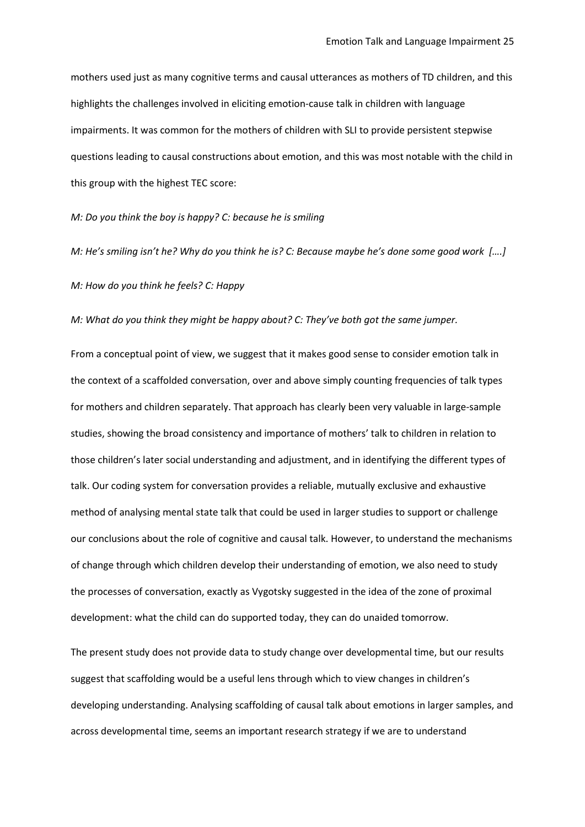mothers used just as many cognitive terms and causal utterances as mothers of TD children, and this highlights the challenges involved in eliciting emotion-cause talk in children with language impairments. It was common for the mothers of children with SLI to provide persistent stepwise questions leading to causal constructions about emotion, and this was most notable with the child in this group with the highest TEC score:

M: Do you think the boy is happy? C: because he is smiling

M: He's smiling isn't he? Why do you think he is? C: Because maybe he's done some good work [….] M: How do you think he feels? C: Happy

M: What do you think they might be happy about? C: They've both got the same jumper.

From a conceptual point of view, we suggest that it makes good sense to consider emotion talk in the context of a scaffolded conversation, over and above simply counting frequencies of talk types for mothers and children separately. That approach has clearly been very valuable in large-sample studies, showing the broad consistency and importance of mothers' talk to children in relation to those children's later social understanding and adjustment, and in identifying the different types of talk. Our coding system for conversation provides a reliable, mutually exclusive and exhaustive method of analysing mental state talk that could be used in larger studies to support or challenge our conclusions about the role of cognitive and causal talk. However, to understand the mechanisms of change through which children develop their understanding of emotion, we also need to study the processes of conversation, exactly as Vygotsky suggested in the idea of the zone of proximal development: what the child can do supported today, they can do unaided tomorrow.

The present study does not provide data to study change over developmental time, but our results suggest that scaffolding would be a useful lens through which to view changes in children's developing understanding. Analysing scaffolding of causal talk about emotions in larger samples, and across developmental time, seems an important research strategy if we are to understand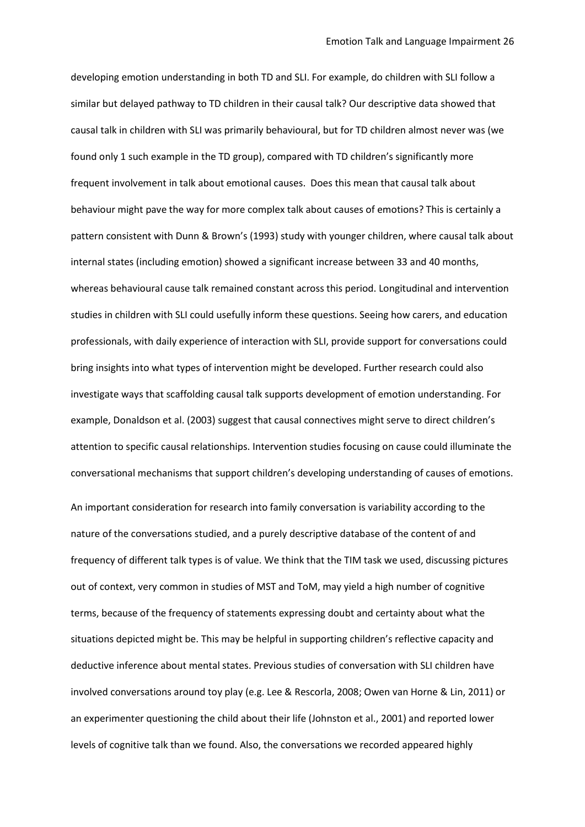developing emotion understanding in both TD and SLI. For example, do children with SLI follow a similar but delayed pathway to TD children in their causal talk? Our descriptive data showed that causal talk in children with SLI was primarily behavioural, but for TD children almost never was (we found only 1 such example in the TD group), compared with TD children's significantly more frequent involvement in talk about emotional causes. Does this mean that causal talk about behaviour might pave the way for more complex talk about causes of emotions? This is certainly a pattern consistent with Dunn & Brown's (1993) study with younger children, where causal talk about internal states (including emotion) showed a significant increase between 33 and 40 months, whereas behavioural cause talk remained constant across this period. Longitudinal and intervention studies in children with SLI could usefully inform these questions. Seeing how carers, and education professionals, with daily experience of interaction with SLI, provide support for conversations could bring insights into what types of intervention might be developed. Further research could also investigate ways that scaffolding causal talk supports development of emotion understanding. For example, Donaldson et al. (2003) suggest that causal connectives might serve to direct children's attention to specific causal relationships. Intervention studies focusing on cause could illuminate the conversational mechanisms that support children's developing understanding of causes of emotions.

An important consideration for research into family conversation is variability according to the nature of the conversations studied, and a purely descriptive database of the content of and frequency of different talk types is of value. We think that the TIM task we used, discussing pictures out of context, very common in studies of MST and ToM, may yield a high number of cognitive terms, because of the frequency of statements expressing doubt and certainty about what the situations depicted might be. This may be helpful in supporting children's reflective capacity and deductive inference about mental states. Previous studies of conversation with SLI children have involved conversations around toy play (e.g. Lee & Rescorla, 2008; Owen van Horne & Lin, 2011) or an experimenter questioning the child about their life (Johnston et al., 2001) and reported lower levels of cognitive talk than we found. Also, the conversations we recorded appeared highly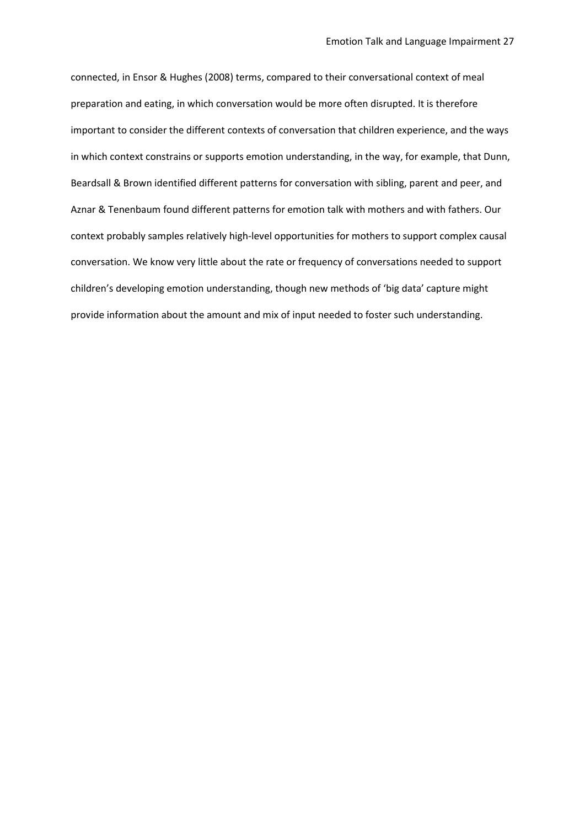connected, in Ensor & Hughes (2008) terms, compared to their conversational context of meal preparation and eating, in which conversation would be more often disrupted. It is therefore important to consider the different contexts of conversation that children experience, and the ways in which context constrains or supports emotion understanding, in the way, for example, that Dunn, Beardsall & Brown identified different patterns for conversation with sibling, parent and peer, and Aznar & Tenenbaum found different patterns for emotion talk with mothers and with fathers. Our context probably samples relatively high-level opportunities for mothers to support complex causal conversation. We know very little about the rate or frequency of conversations needed to support children's developing emotion understanding, though new methods of 'big data' capture might provide information about the amount and mix of input needed to foster such understanding.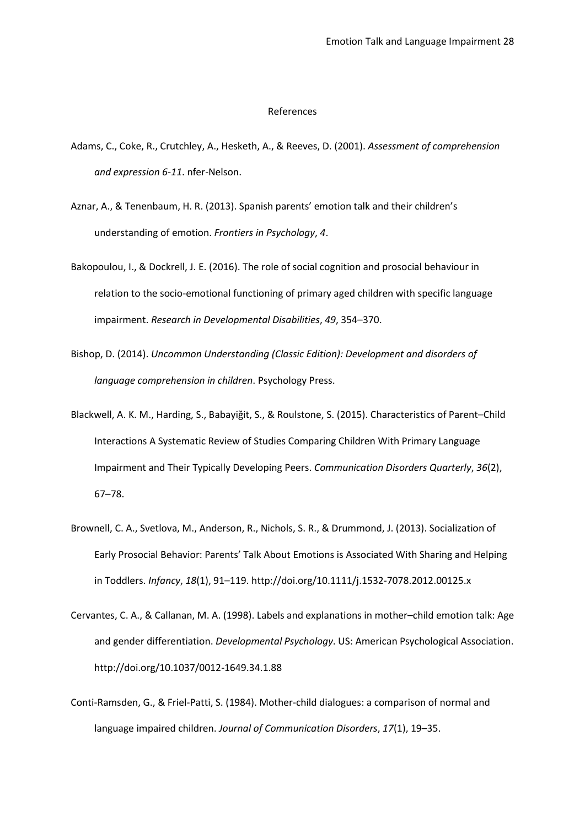### References

- Adams, C., Coke, R., Crutchley, A., Hesketh, A., & Reeves, D. (2001). Assessment of comprehension and expression 6-11. nfer-Nelson.
- Aznar, A., & Tenenbaum, H. R. (2013). Spanish parents' emotion talk and their children's understanding of emotion. Frontiers in Psychology, 4.
- Bakopoulou, I., & Dockrell, J. E. (2016). The role of social cognition and prosocial behaviour in relation to the socio-emotional functioning of primary aged children with specific language impairment. Research in Developmental Disabilities, 49, 354–370.
- Bishop, D. (2014). Uncommon Understanding (Classic Edition): Development and disorders of language comprehension in children. Psychology Press.
- Blackwell, A. K. M., Harding, S., Babayiğit, S., & Roulstone, S. (2015). Characteristics of Parent–Child Interactions A Systematic Review of Studies Comparing Children With Primary Language Impairment and Their Typically Developing Peers. Communication Disorders Quarterly, 36(2), 67–78.
- Brownell, C. A., Svetlova, M., Anderson, R., Nichols, S. R., & Drummond, J. (2013). Socialization of Early Prosocial Behavior: Parents' Talk About Emotions is Associated With Sharing and Helping in Toddlers. Infancy, 18(1), 91–119. http://doi.org/10.1111/j.1532-7078.2012.00125.x
- Cervantes, C. A., & Callanan, M. A. (1998). Labels and explanations in mother–child emotion talk: Age and gender differentiation. Developmental Psychology. US: American Psychological Association. http://doi.org/10.1037/0012-1649.34.1.88
- Conti-Ramsden, G., & Friel-Patti, S. (1984). Mother-child dialogues: a comparison of normal and language impaired children. Journal of Communication Disorders, 17(1), 19–35.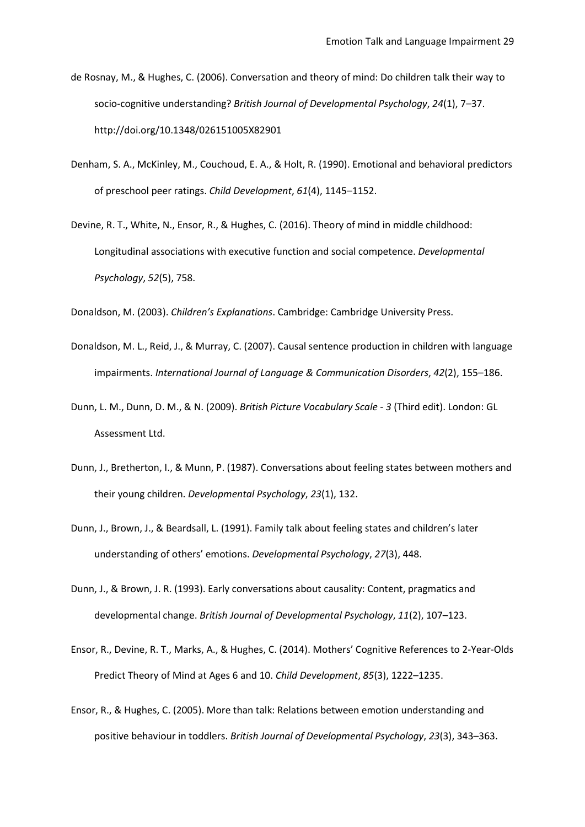- de Rosnay, M., & Hughes, C. (2006). Conversation and theory of mind: Do children talk their way to socio-cognitive understanding? British Journal of Developmental Psychology, 24(1), 7–37. http://doi.org/10.1348/026151005X82901
- Denham, S. A., McKinley, M., Couchoud, E. A., & Holt, R. (1990). Emotional and behavioral predictors of preschool peer ratings. Child Development, 61(4), 1145–1152.
- Devine, R. T., White, N., Ensor, R., & Hughes, C. (2016). Theory of mind in middle childhood: Longitudinal associations with executive function and social competence. Developmental Psychology, 52(5), 758.

Donaldson, M. (2003). Children's Explanations. Cambridge: Cambridge University Press.

- Donaldson, M. L., Reid, J., & Murray, C. (2007). Causal sentence production in children with language impairments. International Journal of Language & Communication Disorders, 42(2), 155–186.
- Dunn, L. M., Dunn, D. M., & N. (2009). British Picture Vocabulary Scale 3 (Third edit). London: GL Assessment Ltd.
- Dunn, J., Bretherton, I., & Munn, P. (1987). Conversations about feeling states between mothers and their young children. Developmental Psychology, 23(1), 132.
- Dunn, J., Brown, J., & Beardsall, L. (1991). Family talk about feeling states and children's later understanding of others' emotions. Developmental Psychology, 27(3), 448.
- Dunn, J., & Brown, J. R. (1993). Early conversations about causality: Content, pragmatics and developmental change. British Journal of Developmental Psychology, 11(2), 107–123.
- Ensor, R., Devine, R. T., Marks, A., & Hughes, C. (2014). Mothers' Cognitive References to 2-Year-Olds Predict Theory of Mind at Ages 6 and 10. Child Development, 85(3), 1222–1235.
- Ensor, R., & Hughes, C. (2005). More than talk: Relations between emotion understanding and positive behaviour in toddlers. British Journal of Developmental Psychology, 23(3), 343–363.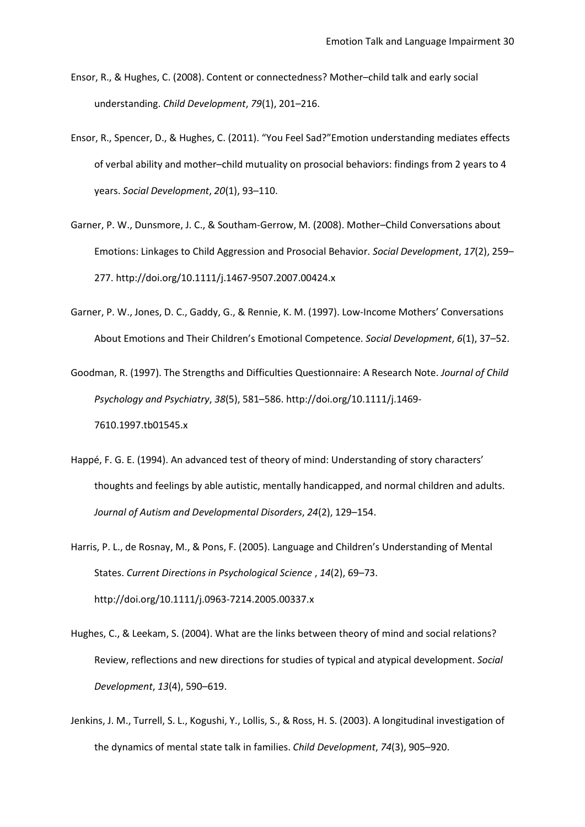- Ensor, R., & Hughes, C. (2008). Content or connectedness? Mother–child talk and early social understanding. Child Development, 79(1), 201–216.
- Ensor, R., Spencer, D., & Hughes, C. (2011). "You Feel Sad?"Emotion understanding mediates effects of verbal ability and mother–child mutuality on prosocial behaviors: findings from 2 years to 4 years. Social Development, 20(1), 93–110.
- Garner, P. W., Dunsmore, J. C., & Southam-Gerrow, M. (2008). Mother–Child Conversations about Emotions: Linkages to Child Aggression and Prosocial Behavior. Social Development, 17(2), 259– 277. http://doi.org/10.1111/j.1467-9507.2007.00424.x
- Garner, P. W., Jones, D. C., Gaddy, G., & Rennie, K. M. (1997). Low-Income Mothers' Conversations About Emotions and Their Children's Emotional Competence. Social Development, 6(1), 37–52.

Goodman, R. (1997). The Strengths and Difficulties Questionnaire: A Research Note. Journal of Child Psychology and Psychiatry, 38(5), 581–586. http://doi.org/10.1111/j.1469- 7610.1997.tb01545.x

Happé, F. G. E. (1994). An advanced test of theory of mind: Understanding of story characters' thoughts and feelings by able autistic, mentally handicapped, and normal children and adults. Journal of Autism and Developmental Disorders, 24(2), 129–154.

Harris, P. L., de Rosnay, M., & Pons, F. (2005). Language and Children's Understanding of Mental States. Current Directions in Psychological Science , 14(2), 69–73. http://doi.org/10.1111/j.0963-7214.2005.00337.x

- Hughes, C., & Leekam, S. (2004). What are the links between theory of mind and social relations? Review, reflections and new directions for studies of typical and atypical development. Social Development, 13(4), 590–619.
- Jenkins, J. M., Turrell, S. L., Kogushi, Y., Lollis, S., & Ross, H. S. (2003). A longitudinal investigation of the dynamics of mental state talk in families. Child Development, 74(3), 905–920.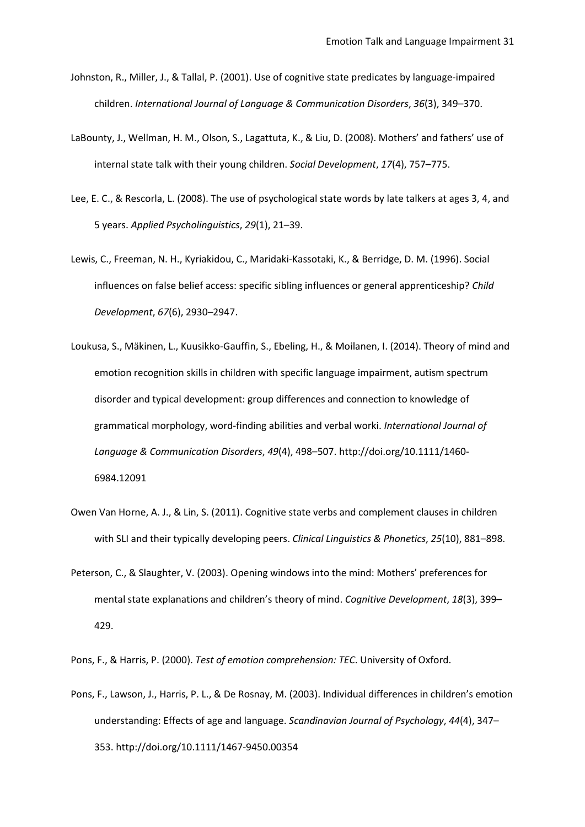- Johnston, R., Miller, J., & Tallal, P. (2001). Use of cognitive state predicates by language-impaired children. International Journal of Language & Communication Disorders, 36(3), 349–370.
- LaBounty, J., Wellman, H. M., Olson, S., Lagattuta, K., & Liu, D. (2008). Mothers' and fathers' use of internal state talk with their young children. Social Development, 17(4), 757–775.
- Lee, E. C., & Rescorla, L. (2008). The use of psychological state words by late talkers at ages 3, 4, and 5 years. Applied Psycholinguistics, 29(1), 21–39.
- Lewis, C., Freeman, N. H., Kyriakidou, C., Maridaki-Kassotaki, K., & Berridge, D. M. (1996). Social influences on false belief access: specific sibling influences or general apprenticeship? Child Development, 67(6), 2930–2947.
- Loukusa, S., Mäkinen, L., Kuusikko-Gauffin, S., Ebeling, H., & Moilanen, I. (2014). Theory of mind and emotion recognition skills in children with specific language impairment, autism spectrum disorder and typical development: group differences and connection to knowledge of grammatical morphology, word-finding abilities and verbal worki. International Journal of Language & Communication Disorders, 49(4), 498–507. http://doi.org/10.1111/1460- 6984.12091
- Owen Van Horne, A. J., & Lin, S. (2011). Cognitive state verbs and complement clauses in children with SLI and their typically developing peers. *Clinical Linguistics & Phonetics, 25*(10), 881–898.
- Peterson, C., & Slaughter, V. (2003). Opening windows into the mind: Mothers' preferences for mental state explanations and children's theory of mind. Cognitive Development, 18(3), 399– 429.

Pons, F., & Harris, P. (2000). Test of emotion comprehension: TEC. University of Oxford.

Pons, F., Lawson, J., Harris, P. L., & De Rosnay, M. (2003). Individual differences in children's emotion understanding: Effects of age and language. Scandinavian Journal of Psychology, 44(4), 347– 353. http://doi.org/10.1111/1467-9450.00354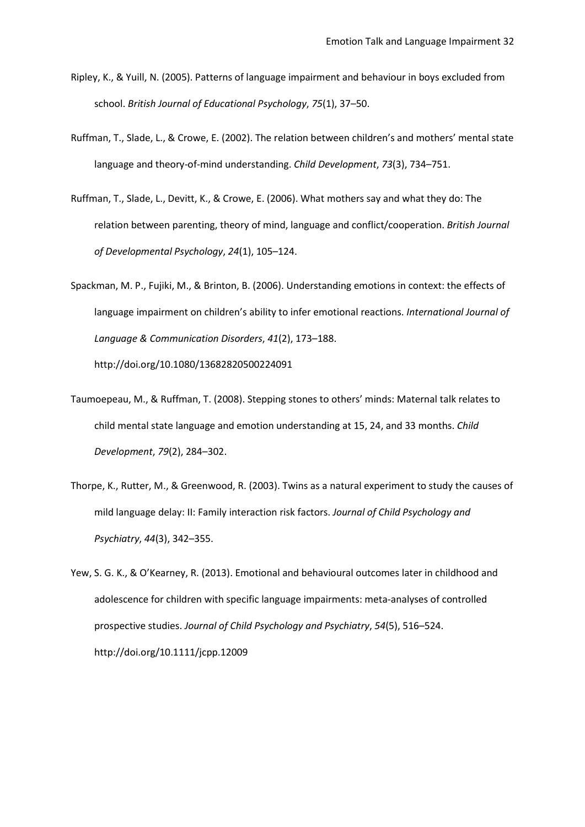- Ripley, K., & Yuill, N. (2005). Patterns of language impairment and behaviour in boys excluded from school. British Journal of Educational Psychology, 75(1), 37–50.
- Ruffman, T., Slade, L., & Crowe, E. (2002). The relation between children's and mothers' mental state language and theory-of-mind understanding. Child Development, 73(3), 734–751.
- Ruffman, T., Slade, L., Devitt, K., & Crowe, E. (2006). What mothers say and what they do: The relation between parenting, theory of mind, language and conflict/cooperation. British Journal of Developmental Psychology, 24(1), 105–124.
- Spackman, M. P., Fujiki, M., & Brinton, B. (2006). Understanding emotions in context: the effects of language impairment on children's ability to infer emotional reactions. International Journal of Language & Communication Disorders, 41(2), 173–188.

http://doi.org/10.1080/13682820500224091

- Taumoepeau, M., & Ruffman, T. (2008). Stepping stones to others' minds: Maternal talk relates to child mental state language and emotion understanding at 15, 24, and 33 months. Child Development, 79(2), 284–302.
- Thorpe, K., Rutter, M., & Greenwood, R. (2003). Twins as a natural experiment to study the causes of mild language delay: II: Family interaction risk factors. Journal of Child Psychology and Psychiatry, 44(3), 342–355.
- Yew, S. G. K., & O'Kearney, R. (2013). Emotional and behavioural outcomes later in childhood and adolescence for children with specific language impairments: meta-analyses of controlled prospective studies. Journal of Child Psychology and Psychiatry, 54(5), 516–524. http://doi.org/10.1111/jcpp.12009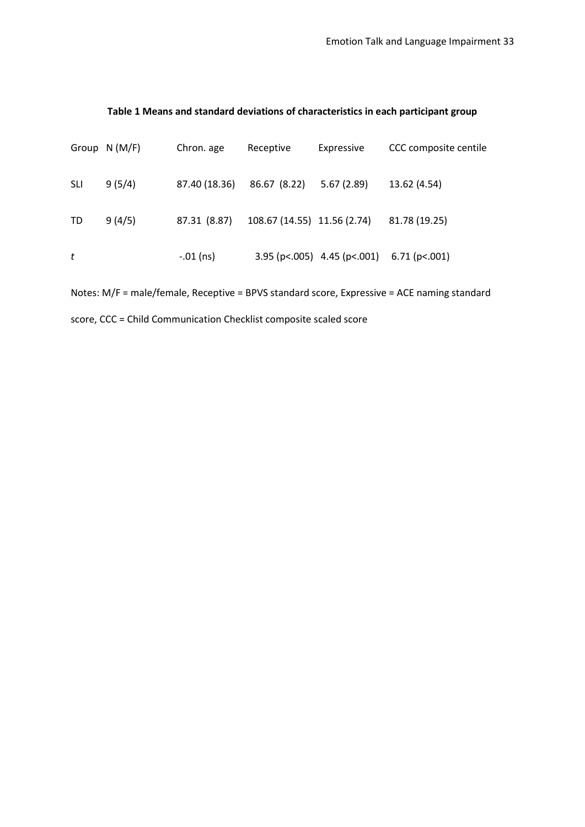# Table 1 Means and standard deviations of characteristics in each participant group

|            | Group $N(M/F)$ | Chron. age    | Receptive                   | Expressive                                      | CCC composite centile |
|------------|----------------|---------------|-----------------------------|-------------------------------------------------|-----------------------|
| <b>SLI</b> | 9(5/4)         | 87.40 (18.36) | 86.67 (8.22)                | 5.67(2.89)                                      | 13.62 (4.54)          |
| TD         | 9(4/5)         | 87.31 (8.87)  | 108.67 (14.55) 11.56 (2.74) |                                                 | 81.78 (19.25)         |
| t          |                | $-.01$ (ns)   |                             | 3.95 (p <. 005) 4.45 (p <. 001) 6.71 (p <. 001) |                       |

Notes: M/F = male/female, Receptive = BPVS standard score, Expressive = ACE naming standard score, CCC = Child Communication Checklist composite scaled score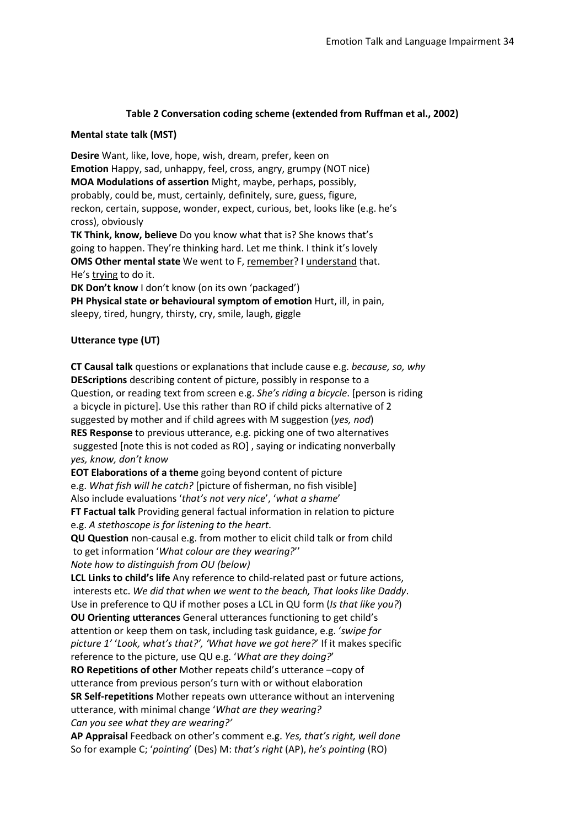## Table 2 Conversation coding scheme (extended from Ruffman et al., 2002)

## Mental state talk (MST)

Desire Want, like, love, hope, wish, dream, prefer, keen on Emotion Happy, sad, unhappy, feel, cross, angry, grumpy (NOT nice) MOA Modulations of assertion Might, maybe, perhaps, possibly, probably, could be, must, certainly, definitely, sure, guess, figure, reckon, certain, suppose, wonder, expect, curious, bet, looks like (e.g. he's cross), obviously

TK Think, know, believe Do you know what that is? She knows that's going to happen. They're thinking hard. Let me think. I think it's lovely OMS Other mental state We went to F, remember? I understand that. He's trying to do it.

DK Don't know I don't know (on its own 'packaged') PH Physical state or behavioural symptom of emotion Hurt, ill, in pain, sleepy, tired, hungry, thirsty, cry, smile, laugh, giggle

## Utterance type (UT)

CT Causal talk questions or explanations that include cause e.g. because, so, why DEScriptions describing content of picture, possibly in response to a Question, or reading text from screen e.g. She's riding a bicycle. [person is riding a bicycle in picture]. Use this rather than RO if child picks alternative of 2 suggested by mother and if child agrees with M suggestion (yes, nod) RES Response to previous utterance, e.g. picking one of two alternatives suggested [note this is not coded as RO] , saying or indicating nonverbally yes, know, don't know

EOT Elaborations of a theme going beyond content of picture e.g. What fish will he catch? [picture of fisherman, no fish visible] Also include evaluations 'that's not very nice', 'what a shame' FT Factual talk Providing general factual information in relation to picture e.g. A stethoscope is for listening to the heart.

QU Question non-causal e.g. from mother to elicit child talk or from child to get information 'What colour are they wearing?''

Note how to distinguish from OU (below)

LCL Links to child's life Any reference to child-related past or future actions, interests etc. We did that when we went to the beach, That looks like Daddy. Use in preference to QU if mother poses a LCL in QU form (Is that like you?) OU Orienting utterances General utterances functioning to get child's attention or keep them on task, including task guidance, e.g. 'swipe for picture 1' 'Look, what's that?', 'What have we got here?' If it makes specific reference to the picture, use QU e.g. 'What are they doing?'

RO Repetitions of other Mother repeats child's utterance –copy of utterance from previous person's turn with or without elaboration SR Self-repetitions Mother repeats own utterance without an intervening utterance, with minimal change 'What are they wearing? Can you see what they are wearing?'

AP Appraisal Feedback on other's comment e.g. Yes, that's right, well done So for example C; 'pointing' (Des) M: that's right (AP), he's pointing (RO)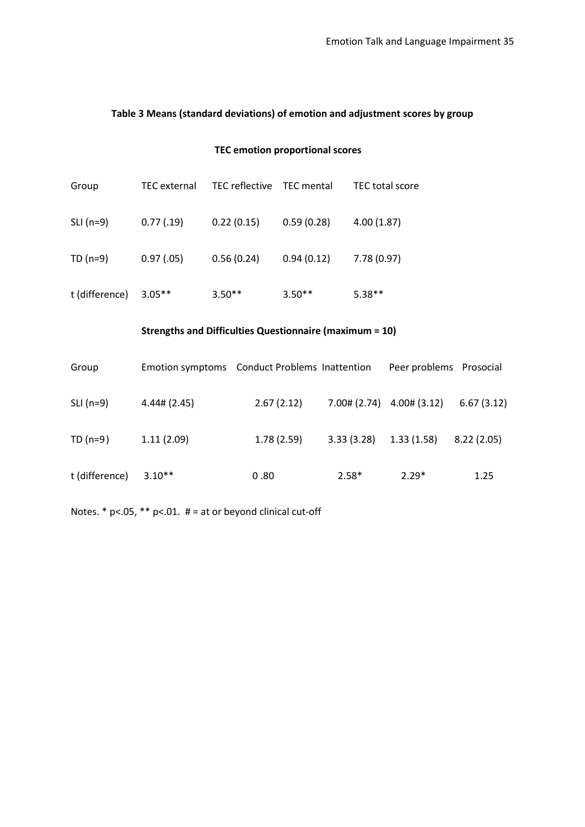## Table 3 Means (standard deviations) of emotion and adjustment scores by group

## TEC emotion proportional scores

| Group          | <b>TEC</b> external | TEC reflective TEC mental |            | TEC total score |
|----------------|---------------------|---------------------------|------------|-----------------|
| $SLI(n=9)$     | 0.77(0.19)          | 0.22(0.15)                | 0.59(0.28) | 4.00(1.87)      |
| $TD(n=9)$      | 0.97(0.05)          | 0.56(0.24)                | 0.94(0.12) | 7.78(0.97)      |
| t (difference) | $3.05**$            | $3.50**$                  | $3.50**$   | $5.38**$        |

## Strengths and Difficulties Questionnaire (maximum = 10)

| Group          | Emotion symptoms  Conduct Problems Inattention |            |            | Peer problems Prosocial      |            |
|----------------|------------------------------------------------|------------|------------|------------------------------|------------|
| $SLI(n=9)$     | $4.44\# (2.45)$                                | 2.67(2.12) |            | $7.00\# (2.74)$ 4.00# (3.12) | 6.67(3.12) |
| $TD(n=9)$      | 1.11(2.09)                                     | 1.78(2.59) | 3.33(3.28) | 1.33(1.58)                   | 8.22(2.05) |
| t (difference) | $3.10**$                                       | 0.80       | $2.58*$    | $2.29*$                      | 1.25       |

Notes. \* p<.05, \*\* p<.01. # = at or beyond clinical cut-off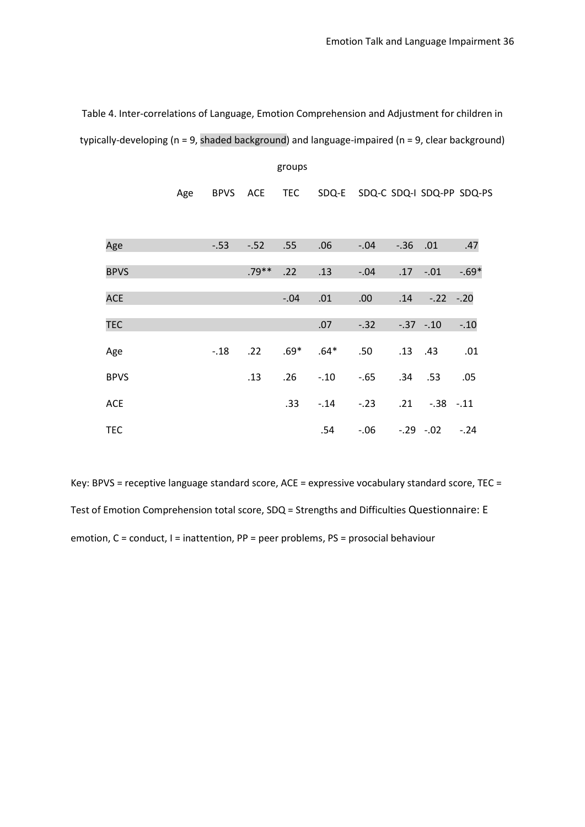Table 4. Inter-correlations of Language, Emotion Comprehension and Adjustment for children in typically-developing (n = 9, shaded background) and language-impaired (n = 9, clear background)

groups

|             | Age | BPVS ACE |         | <b>TEC</b> | SDQ-E SDQ-C SDQ-I SDQ-PP SDQ-PS |         |            |                   |         |
|-------------|-----|----------|---------|------------|---------------------------------|---------|------------|-------------------|---------|
|             |     |          |         |            |                                 |         |            |                   |         |
|             |     |          |         |            |                                 |         |            |                   |         |
| Age         |     | $-.53$   | $-.52$  | .55        | .06                             | $-.04$  | $-.36$ .01 |                   | .47     |
| <b>BPVS</b> |     |          | $.79**$ | .22        | .13                             | $-.04$  | .17        | $-.01$            | $-.69*$ |
|             |     |          |         |            |                                 |         |            |                   |         |
| <b>ACE</b>  |     |          |         | $-.04$     | .01                             | .00     | .14        | $-.22-.20$        |         |
| <b>TEC</b>  |     |          |         |            | .07                             | $-.32$  |            | $-.37-.10$        | $-.10$  |
|             |     |          | .22     | $.69*$     | $.64*$                          | .50     | .13.43     |                   |         |
| Age         |     | $-.18$   |         |            |                                 |         |            |                   | .01     |
| <b>BPVS</b> |     |          | .13     | .26        | $-.10$                          | $-.65$  | .34        | $-.53$            | .05     |
| <b>ACE</b>  |     |          |         | $.33 -$    | $-.14$                          | $-.23$  |            | $.21 - .38 - .11$ |         |
| <b>TEC</b>  |     |          |         |            | .54                             | $-0.06$ |            | $-.29-.02$        | $-.24$  |

Key: BPVS = receptive language standard score, ACE = expressive vocabulary standard score, TEC = Test of Emotion Comprehension total score, SDQ = Strengths and Difficulties Questionnaire: E emotion, C = conduct, I = inattention, PP = peer problems, PS = prosocial behaviour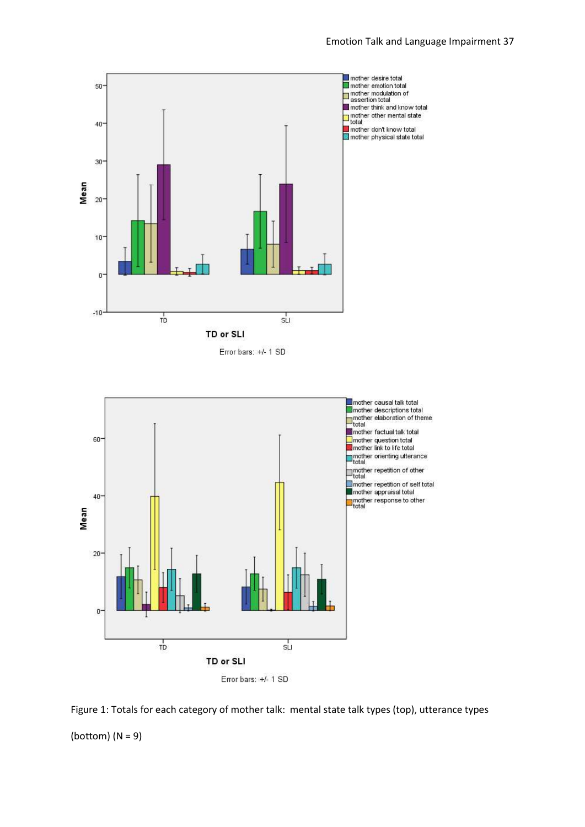

Figure 1: Totals for each category of mother talk: mental state talk types (top), utterance types (bottom)  $(N = 9)$